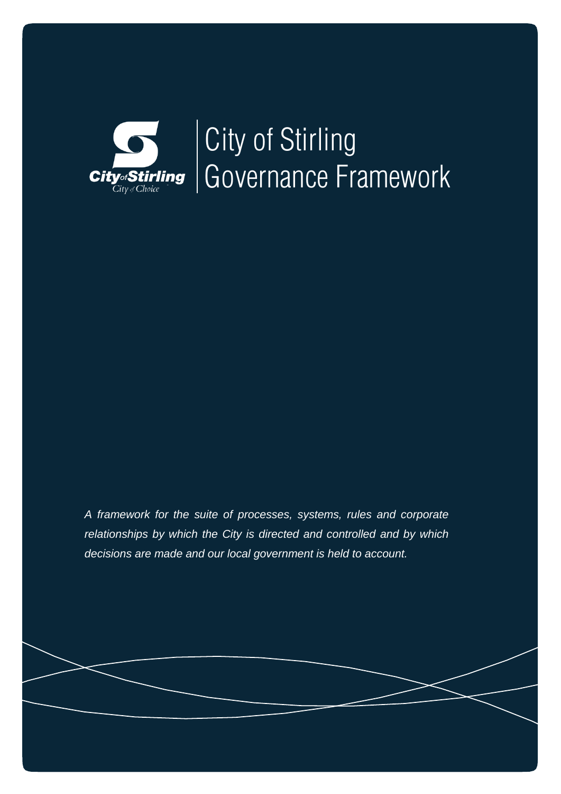

# City of Stirling Governance Framework

*A framework for the suite of processes, systems, rules and corporate relationships by which the City is directed and controlled and by which decisions are made and our local government is held to account.*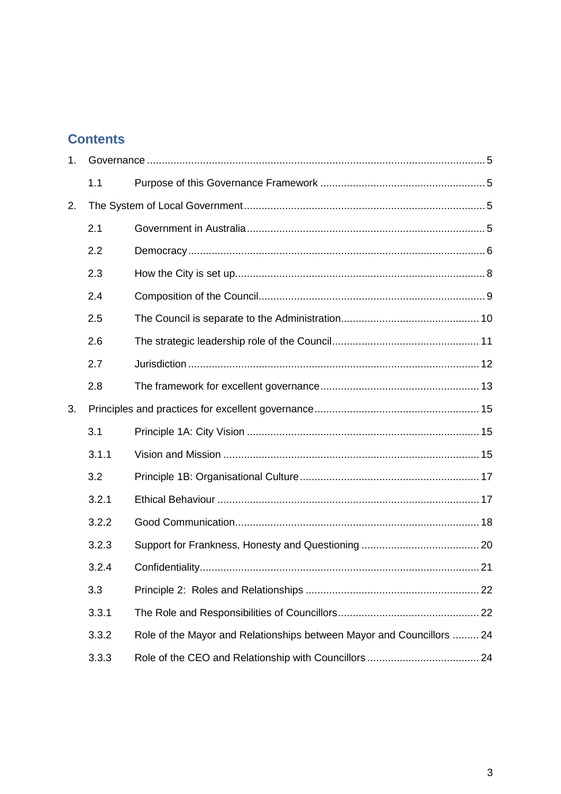# **Contents**

| 1. |       |                                                                       |  |
|----|-------|-----------------------------------------------------------------------|--|
|    | 1.1   |                                                                       |  |
| 2. |       |                                                                       |  |
|    | 2.1   |                                                                       |  |
|    | 2.2   |                                                                       |  |
|    | 2.3   |                                                                       |  |
|    | 2.4   |                                                                       |  |
|    | 2.5   |                                                                       |  |
|    | 2.6   |                                                                       |  |
|    | 2.7   |                                                                       |  |
|    | 2.8   |                                                                       |  |
| 3. |       |                                                                       |  |
|    | 3.1   |                                                                       |  |
|    | 3.1.1 |                                                                       |  |
|    | 3.2   |                                                                       |  |
|    | 3.2.1 |                                                                       |  |
|    | 3.2.2 |                                                                       |  |
|    | 3.2.3 |                                                                       |  |
|    | 3.2.4 |                                                                       |  |
|    | 3.3   |                                                                       |  |
|    | 3.3.1 |                                                                       |  |
|    | 3.3.2 | Role of the Mayor and Relationships between Mayor and Councillors  24 |  |
|    | 3.3.3 |                                                                       |  |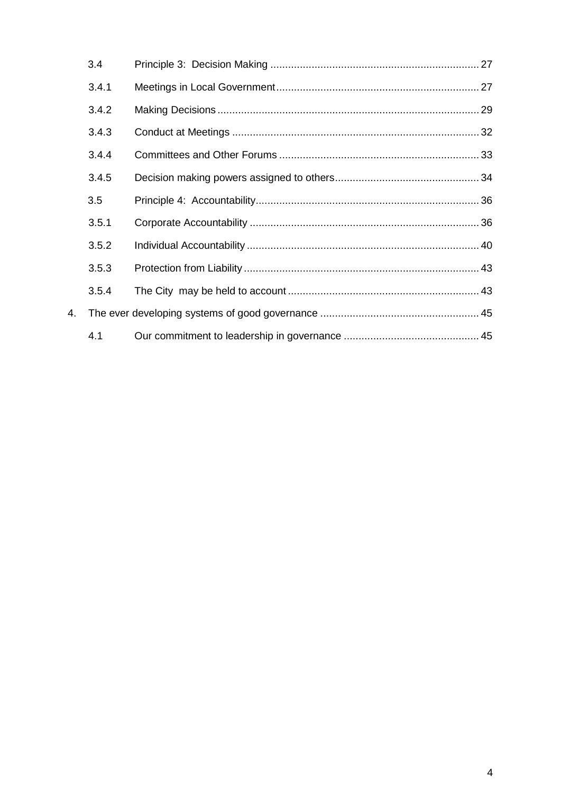|    | 3.4   |  |
|----|-------|--|
|    | 3.4.1 |  |
|    | 3.4.2 |  |
|    | 3.4.3 |  |
|    | 3.4.4 |  |
|    | 3.4.5 |  |
|    | 3.5   |  |
|    | 3.5.1 |  |
|    | 3.5.2 |  |
|    | 3.5.3 |  |
|    | 3.5.4 |  |
| 4. |       |  |
|    | 4.1   |  |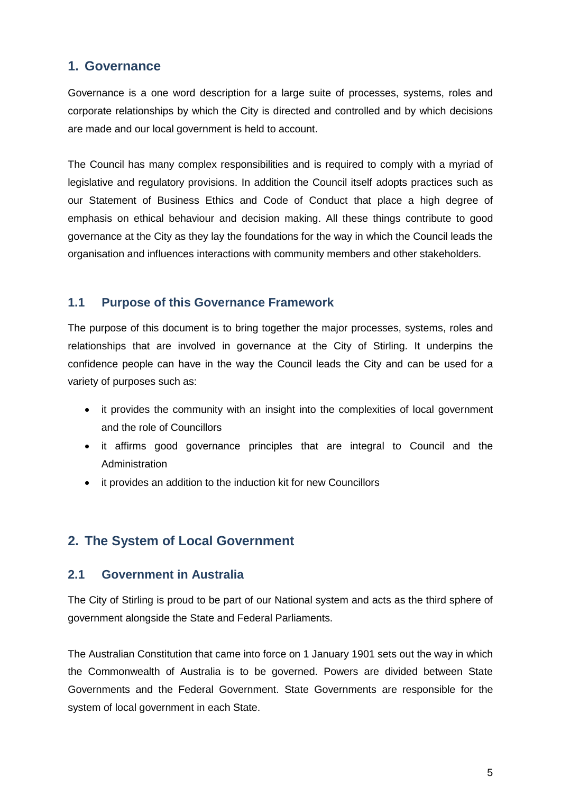# <span id="page-4-0"></span>**1. Governance**

Governance is a one word description for a large suite of processes, systems, roles and corporate relationships by which the City is directed and controlled and by which decisions are made and our local government is held to account.

The Council has many complex responsibilities and is required to comply with a myriad of legislative and regulatory provisions. In addition the Council itself adopts practices such as our Statement of Business Ethics and Code of Conduct that place a high degree of emphasis on ethical behaviour and decision making. All these things contribute to good governance at the City as they lay the foundations for the way in which the Council leads the organisation and influences interactions with community members and other stakeholders.

# <span id="page-4-1"></span>**1.1 Purpose of this Governance Framework**

The purpose of this document is to bring together the major processes, systems, roles and relationships that are involved in governance at the City of Stirling. It underpins the confidence people can have in the way the Council leads the City and can be used for a variety of purposes such as:

- it provides the community with an insight into the complexities of local government and the role of Councillors
- it affirms good governance principles that are integral to Council and the **Administration**
- it provides an addition to the induction kit for new Councillors

# <span id="page-4-2"></span>**2. The System of Local Government**

# <span id="page-4-3"></span>**2.1 Government in Australia**

The City of Stirling is proud to be part of our National system and acts as the third sphere of government alongside the State and Federal Parliaments.

The Australian Constitution that came into force on 1 January 1901 sets out the way in which the Commonwealth of Australia is to be governed. Powers are divided between State Governments and the Federal Government. State Governments are responsible for the system of local government in each State.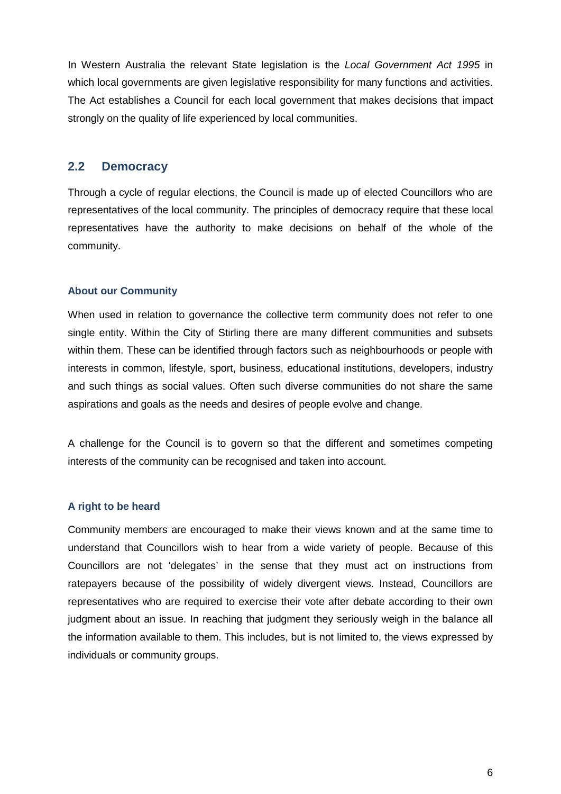In Western Australia the relevant State legislation is the *Local Government Act 1995* in which local governments are given legislative responsibility for many functions and activities. The Act establishes a Council for each local government that makes decisions that impact strongly on the quality of life experienced by local communities.

# <span id="page-5-0"></span>**2.2 Democracy**

Through a cycle of regular elections, the Council is made up of elected Councillors who are representatives of the local community. The principles of democracy require that these local representatives have the authority to make decisions on behalf of the whole of the community.

#### **About our Community**

When used in relation to governance the collective term community does not refer to one single entity. Within the City of Stirling there are many different communities and subsets within them. These can be identified through factors such as neighbourhoods or people with interests in common, lifestyle, sport, business, educational institutions, developers, industry and such things as social values. Often such diverse communities do not share the same aspirations and goals as the needs and desires of people evolve and change.

A challenge for the Council is to govern so that the different and sometimes competing interests of the community can be recognised and taken into account.

#### **A right to be heard**

Community members are encouraged to make their views known and at the same time to understand that Councillors wish to hear from a wide variety of people. Because of this Councillors are not 'delegates' in the sense that they must act on instructions from ratepayers because of the possibility of widely divergent views. Instead, Councillors are representatives who are required to exercise their vote after debate according to their own judgment about an issue. In reaching that judgment they seriously weigh in the balance all the information available to them. This includes, but is not limited to, the views expressed by individuals or community groups.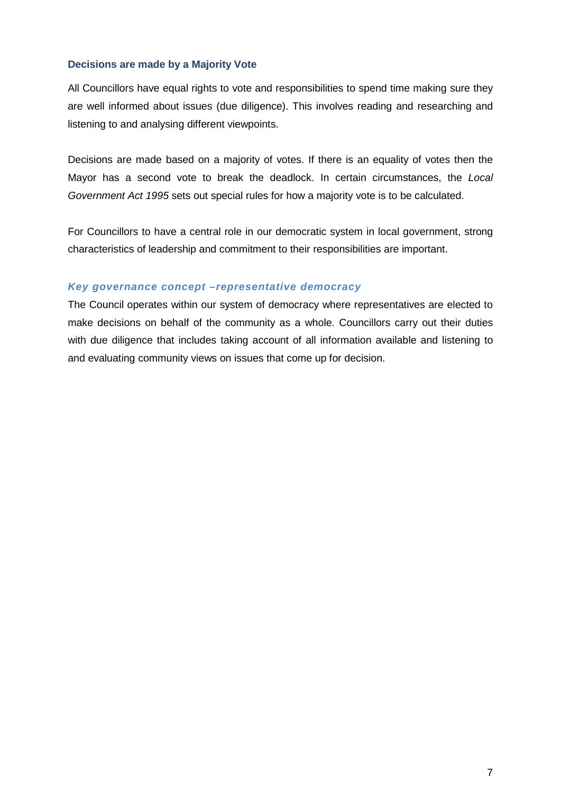# **Decisions are made by a Majority Vote**

All Councillors have equal rights to vote and responsibilities to spend time making sure they are well informed about issues (due diligence). This involves reading and researching and listening to and analysing different viewpoints.

Decisions are made based on a majority of votes. If there is an equality of votes then the Mayor has a second vote to break the deadlock. In certain circumstances, the *Local Government Act 1995* sets out special rules for how a majority vote is to be calculated.

For Councillors to have a central role in our democratic system in local government, strong characteristics of leadership and commitment to their responsibilities are important.

#### *Key governance concept –representative democracy*

The Council operates within our system of democracy where representatives are elected to make decisions on behalf of the community as a whole. Councillors carry out their duties with due diligence that includes taking account of all information available and listening to and evaluating community views on issues that come up for decision.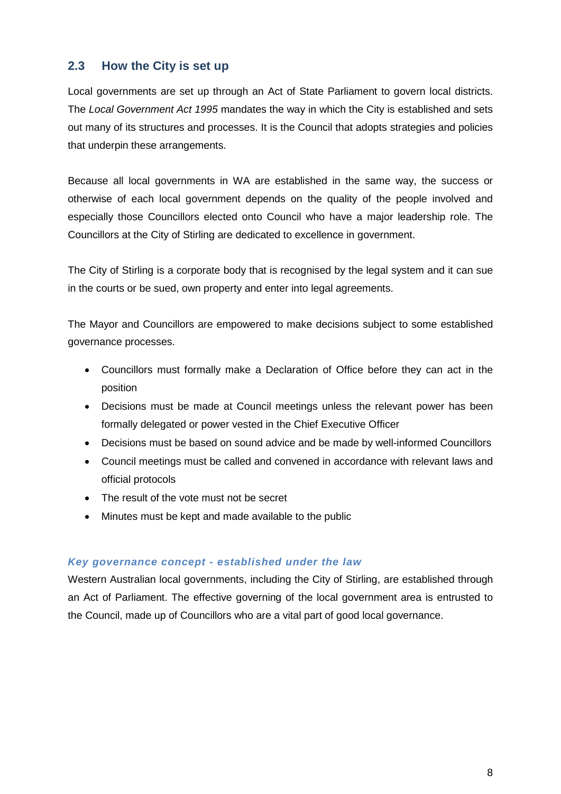# <span id="page-7-0"></span>**2.3 How the City is set up**

Local governments are set up through an Act of State Parliament to govern local districts. The *Local Government Act 1995* mandates the way in which the City is established and sets out many of its structures and processes. It is the Council that adopts strategies and policies that underpin these arrangements.

Because all local governments in WA are established in the same way, the success or otherwise of each local government depends on the quality of the people involved and especially those Councillors elected onto Council who have a major leadership role. The Councillors at the City of Stirling are dedicated to excellence in government.

The City of Stirling is a corporate body that is recognised by the legal system and it can sue in the courts or be sued, own property and enter into legal agreements.

The Mayor and Councillors are empowered to make decisions subject to some established governance processes.

- Councillors must formally make a Declaration of Office before they can act in the position
- Decisions must be made at Council meetings unless the relevant power has been formally delegated or power vested in the Chief Executive Officer
- Decisions must be based on sound advice and be made by well-informed Councillors
- Council meetings must be called and convened in accordance with relevant laws and official protocols
- The result of the vote must not be secret
- Minutes must be kept and made available to the public

# *Key governance concept - established under the law*

Western Australian local governments, including the City of Stirling, are established through an Act of Parliament. The effective governing of the local government area is entrusted to the Council, made up of Councillors who are a vital part of good local governance.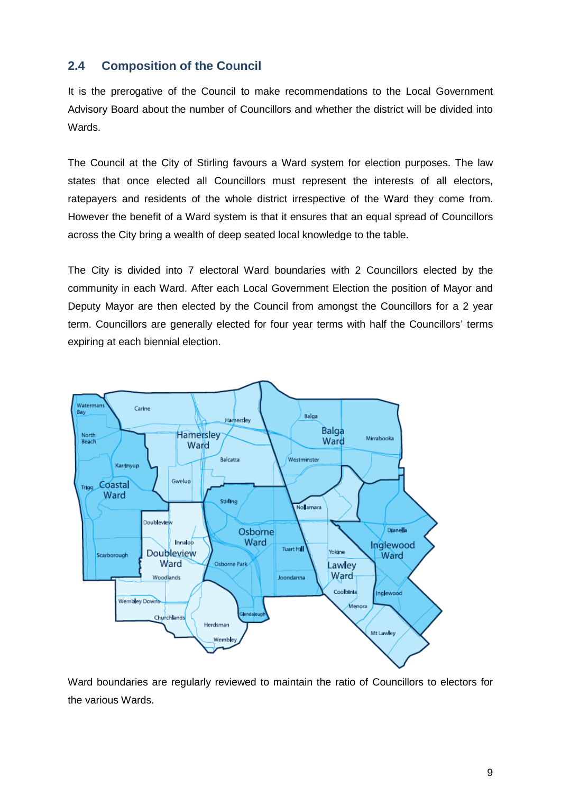# <span id="page-8-0"></span>**2.4 Composition of the Council**

It is the prerogative of the Council to make recommendations to the Local Government Advisory Board about the number of Councillors and whether the district will be divided into Wards.

The Council at the City of Stirling favours a Ward system for election purposes. The law states that once elected all Councillors must represent the interests of all electors, ratepayers and residents of the whole district irrespective of the Ward they come from. However the benefit of a Ward system is that it ensures that an equal spread of Councillors across the City bring a wealth of deep seated local knowledge to the table.

The City is divided into 7 electoral Ward boundaries with 2 Councillors elected by the community in each Ward. After each Local Government Election the position of Mayor and Deputy Mayor are then elected by the Council from amongst the Councillors for a 2 year term. Councillors are generally elected for four year terms with half the Councillors' terms expiring at each biennial election.



Ward boundaries are regularly reviewed to maintain the ratio of Councillors to electors for the various Wards.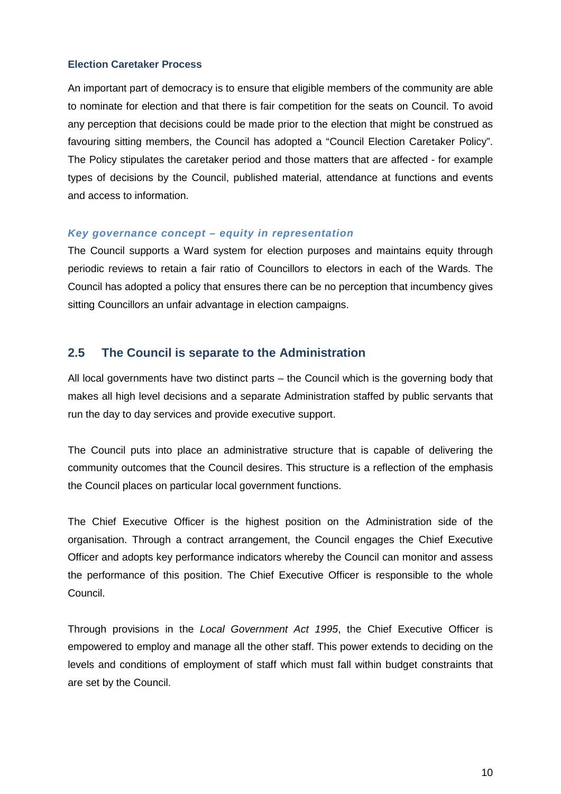# **Election Caretaker Process**

An important part of democracy is to ensure that eligible members of the community are able to nominate for election and that there is fair competition for the seats on Council. To avoid any perception that decisions could be made prior to the election that might be construed as favouring sitting members, the Council has adopted a "Council Election Caretaker Policy". The Policy stipulates the caretaker period and those matters that are affected - for example types of decisions by the Council, published material, attendance at functions and events and access to information.

#### *Key governance concept – equity in representation*

The Council supports a Ward system for election purposes and maintains equity through periodic reviews to retain a fair ratio of Councillors to electors in each of the Wards. The Council has adopted a policy that ensures there can be no perception that incumbency gives sitting Councillors an unfair advantage in election campaigns.

# <span id="page-9-0"></span>**2.5 The Council is separate to the Administration**

All local governments have two distinct parts – the Council which is the governing body that makes all high level decisions and a separate Administration staffed by public servants that run the day to day services and provide executive support.

The Council puts into place an administrative structure that is capable of delivering the community outcomes that the Council desires. This structure is a reflection of the emphasis the Council places on particular local government functions.

The Chief Executive Officer is the highest position on the Administration side of the organisation. Through a contract arrangement, the Council engages the Chief Executive Officer and adopts key performance indicators whereby the Council can monitor and assess the performance of this position. The Chief Executive Officer is responsible to the whole Council.

Through provisions in the *Local Government Act 1995*, the Chief Executive Officer is empowered to employ and manage all the other staff. This power extends to deciding on the levels and conditions of employment of staff which must fall within budget constraints that are set by the Council.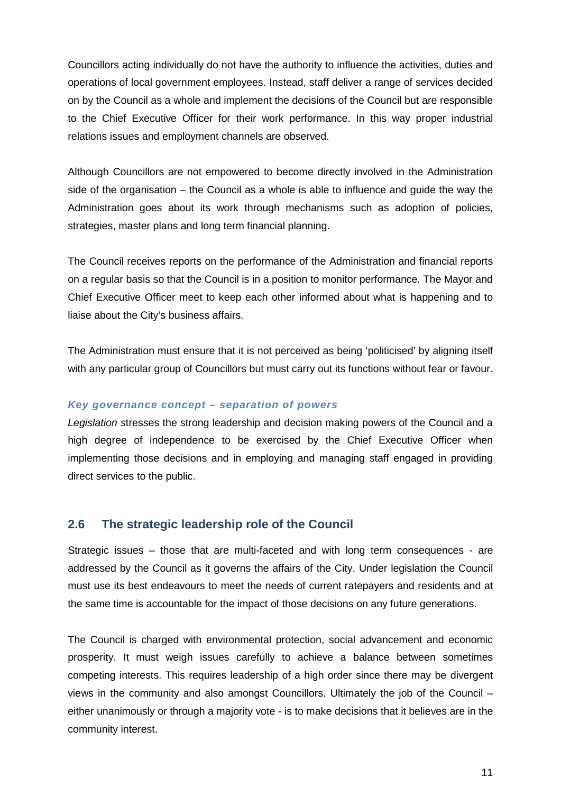Councillors acting individually do not have the authority to influence the activities, duties and operations of local government employees. Instead, staff deliver a range of services decided on by the Council as a whole and implement the decisions of the Council but are responsible to the Chief Executive Officer for their work performance. In this way proper industrial relations issues and employment channels are observed.

Although Councillors are not empowered to become directly involved in the Administration side of the organisation – the Council as a whole is able to influence and guide the way the Administration goes about its work through mechanisms such as adoption of policies, strategies, master plans and long term financial planning.

The Council receives reports on the performance of the Administration and financial reports on a regular basis so that the Council is in a position to monitor performance. The Mayor and Chief Executive Officer meet to keep each other informed about what is happening and to liaise about the City's business affairs.

The Administration must ensure that it is not perceived as being 'politicised' by aligning itself with any particular group of Councillors but must carry out its functions without fear or favour.

# *Key governance concept – separation of powers*

*Legislation s*tresses the strong leadership and decision making powers of the Council and a high degree of independence to be exercised by the Chief Executive Officer when implementing those decisions and in employing and managing staff engaged in providing direct services to the public.

# <span id="page-10-0"></span>**2.6 The strategic leadership role of the Council**

Strategic issues – those that are multi-faceted and with long term consequences - are addressed by the Council as it governs the affairs of the City. Under legislation the Council must use its best endeavours to meet the needs of current ratepayers and residents and at the same time is accountable for the impact of those decisions on any future generations.

The Council is charged with environmental protection, social advancement and economic prosperity. It must weigh issues carefully to achieve a balance between sometimes competing interests. This requires leadership of a high order since there may be divergent views in the community and also amongst Councillors. Ultimately the job of the Council – either unanimously or through a majority vote - is to make decisions that it believes are in the community interest.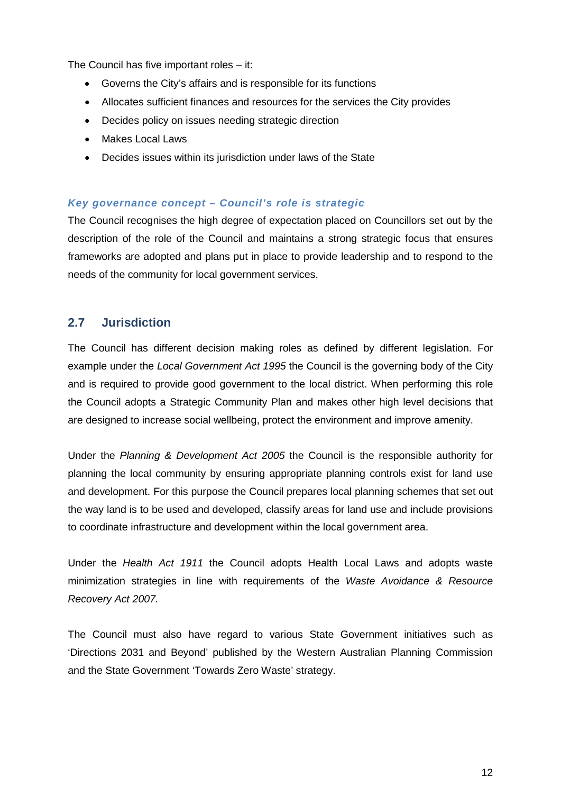The Council has five important roles – it:

- Governs the City's affairs and is responsible for its functions
- Allocates sufficient finances and resources for the services the City provides
- Decides policy on issues needing strategic direction
- Makes Local Laws
- Decides issues within its jurisdiction under laws of the State

# *Key governance concept – Council's role is strategic*

The Council recognises the high degree of expectation placed on Councillors set out by the description of the role of the Council and maintains a strong strategic focus that ensures frameworks are adopted and plans put in place to provide leadership and to respond to the needs of the community for local government services.

# <span id="page-11-0"></span>**2.7 Jurisdiction**

The Council has different decision making roles as defined by different legislation. For example under the *Local Government Act 1995* the Council is the governing body of the City and is required to provide good government to the local district. When performing this role the Council adopts a Strategic Community Plan and makes other high level decisions that are designed to increase social wellbeing, protect the environment and improve amenity.

Under the *Planning & Development Act 2005* the Council is the responsible authority for planning the local community by ensuring appropriate planning controls exist for land use and development. For this purpose the Council prepares local planning schemes that set out the way land is to be used and developed, classify areas for land use and include provisions to coordinate infrastructure and development within the local government area.

Under the *Health Act 1911* the Council adopts Health Local Laws and adopts waste minimization strategies in line with requirements of the *Waste Avoidance & Resource Recovery Act 2007.*

The Council must also have regard to various State Government initiatives such as 'Directions 2031 and Beyond' published by the Western Australian Planning Commission and the State Government 'Towards Zero Waste' strategy.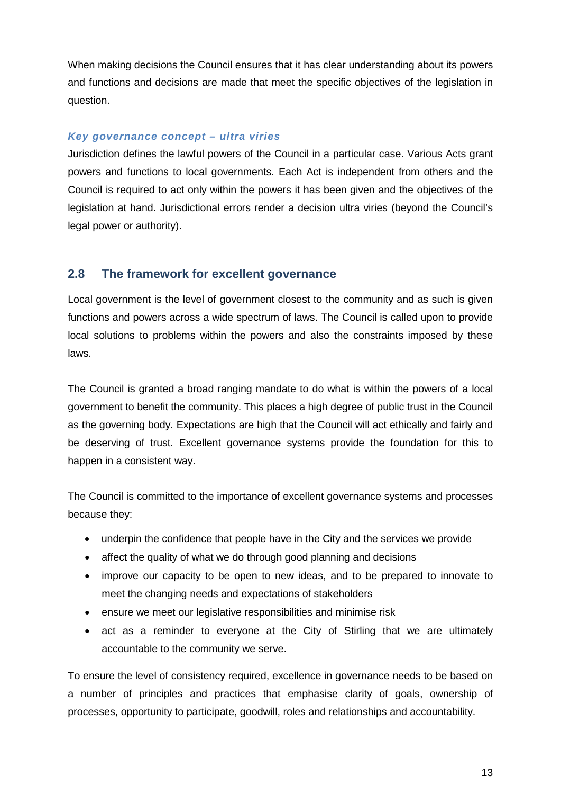When making decisions the Council ensures that it has clear understanding about its powers and functions and decisions are made that meet the specific objectives of the legislation in question.

# *Key governance concept – ultra viries*

Jurisdiction defines the lawful powers of the Council in a particular case. Various Acts grant powers and functions to local governments. Each Act is independent from others and the Council is required to act only within the powers it has been given and the objectives of the legislation at hand. Jurisdictional errors render a decision ultra viries (beyond the Council's legal power or authority).

# <span id="page-12-0"></span>**2.8 The framework for excellent governance**

Local government is the level of government closest to the community and as such is given functions and powers across a wide spectrum of laws. The Council is called upon to provide local solutions to problems within the powers and also the constraints imposed by these laws.

The Council is granted a broad ranging mandate to do what is within the powers of a local government to benefit the community. This places a high degree of public trust in the Council as the governing body. Expectations are high that the Council will act ethically and fairly and be deserving of trust. Excellent governance systems provide the foundation for this to happen in a consistent way.

The Council is committed to the importance of excellent governance systems and processes because they:

- underpin the confidence that people have in the City and the services we provide
- affect the quality of what we do through good planning and decisions
- improve our capacity to be open to new ideas, and to be prepared to innovate to meet the changing needs and expectations of stakeholders
- ensure we meet our legislative responsibilities and minimise risk
- act as a reminder to everyone at the City of Stirling that we are ultimately accountable to the community we serve.

To ensure the level of consistency required, excellence in governance needs to be based on a number of principles and practices that emphasise clarity of goals, ownership of processes, opportunity to participate, goodwill, roles and relationships and accountability.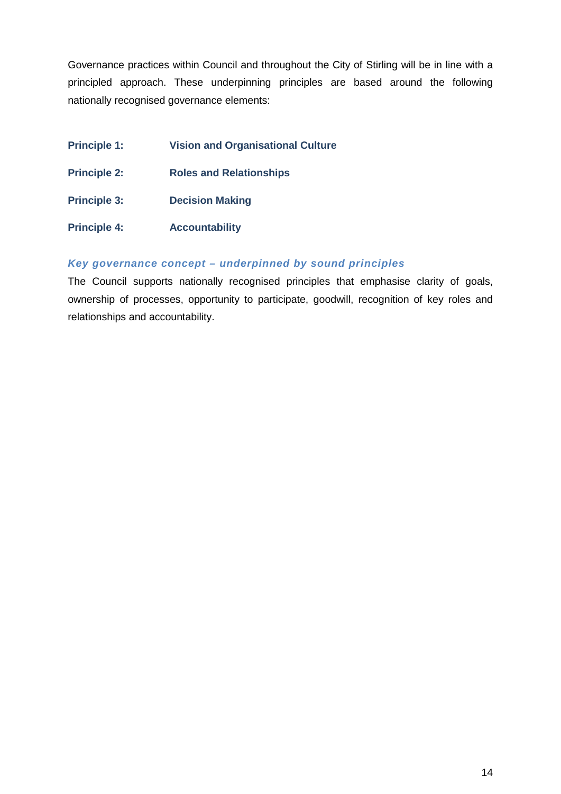Governance practices within Council and throughout the City of Stirling will be in line with a principled approach. These underpinning principles are based around the following nationally recognised governance elements:

- **Principle 1: Vision and Organisational Culture**
- **Principle 2: Roles and Relationships**
- **Principle 3: Decision Making**
- **Principle 4: Accountability**

# *Key governance concept – underpinned by sound principles*

The Council supports nationally recognised principles that emphasise clarity of goals, ownership of processes, opportunity to participate, goodwill, recognition of key roles and relationships and accountability.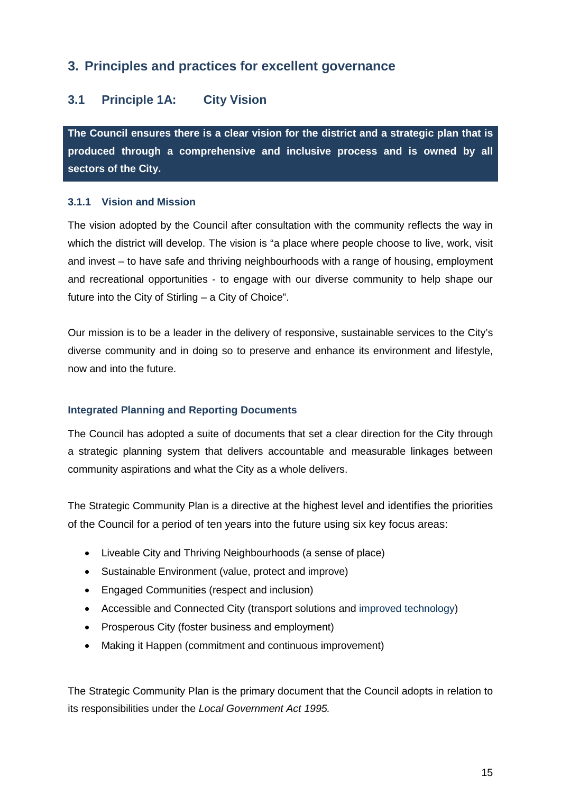# <span id="page-14-0"></span>**3. Principles and practices for excellent governance**

# <span id="page-14-1"></span>**3.1 Principle 1A: City Vision**

**The Council ensures there is a clear vision for the district and a strategic plan that is produced through a comprehensive and inclusive process and is owned by all sectors of the City.**

# <span id="page-14-2"></span>**3.1.1 Vision and Mission**

The vision adopted by the Council after consultation with the community reflects the way in which the district will develop. The vision is "a place where people choose to live, work, visit and invest – to have safe and thriving neighbourhoods with a range of housing, employment and recreational opportunities - to engage with our diverse community to help shape our future into the City of Stirling – a City of Choice".

Our mission is to be a leader in the delivery of responsive, sustainable services to the City's diverse community and in doing so to preserve and enhance its environment and lifestyle, now and into the future.

# **Integrated Planning and Reporting Documents**

The Council has adopted a suite of documents that set a clear direction for the City through a strategic planning system that delivers accountable and measurable linkages between community aspirations and what the City as a whole delivers.

The Strategic Community Plan is a directive at the highest level and identifies the priorities of the Council for a period of ten years into the future using six key focus areas:

- Liveable City and Thriving Neighbourhoods (a sense of place)
- Sustainable Environment (value, protect and improve)
- Engaged Communities (respect and inclusion)
- Accessible and Connected City (transport solutions and improved technology)
- Prosperous City (foster business and employment)
- Making it Happen (commitment and continuous improvement)

The Strategic Community Plan is the primary document that the Council adopts in relation to its responsibilities under the *Local Government Act 1995.*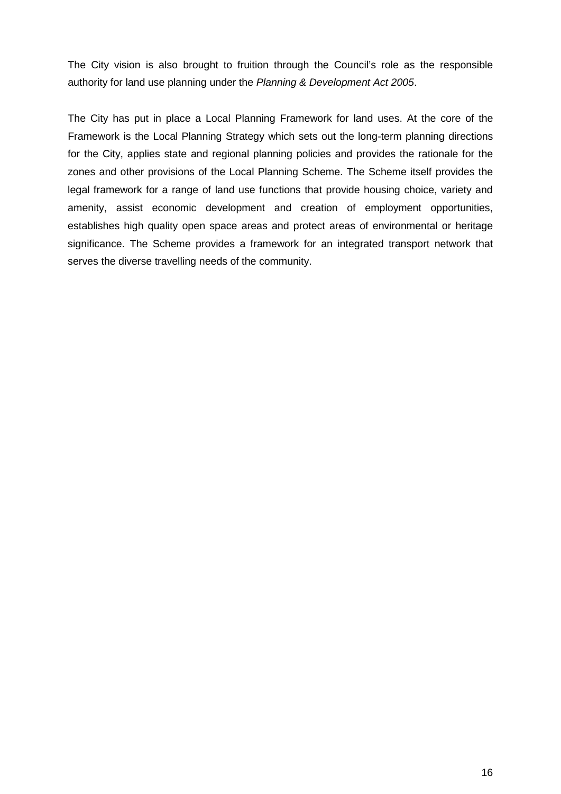The City vision is also brought to fruition through the Council's role as the responsible authority for land use planning under the *Planning & Development Act 2005*.

The City has put in place a Local Planning Framework for land uses. At the core of the Framework is the Local Planning Strategy which sets out the long-term planning directions for the City, applies state and regional planning policies and provides the rationale for the zones and other provisions of the Local Planning Scheme. The Scheme itself provides the legal framework for a range of land use functions that provide housing choice, variety and amenity, assist economic development and creation of employment opportunities, establishes high quality open space areas and protect areas of environmental or heritage significance. The Scheme provides a framework for an integrated transport network that serves the diverse travelling needs of the community.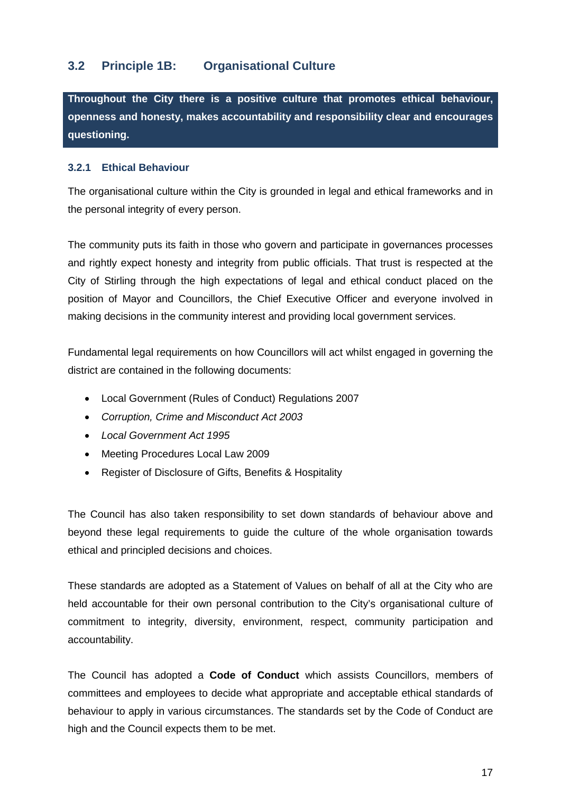# <span id="page-16-0"></span>**3.2 Principle 1B: Organisational Culture**

**Throughout the City there is a positive culture that promotes ethical behaviour, openness and honesty, makes accountability and responsibility clear and encourages questioning.**

# <span id="page-16-1"></span>**3.2.1 Ethical Behaviour**

The organisational culture within the City is grounded in legal and ethical frameworks and in the personal integrity of every person.

The community puts its faith in those who govern and participate in governances processes and rightly expect honesty and integrity from public officials. That trust is respected at the City of Stirling through the high expectations of legal and ethical conduct placed on the position of Mayor and Councillors, the Chief Executive Officer and everyone involved in making decisions in the community interest and providing local government services.

Fundamental legal requirements on how Councillors will act whilst engaged in governing the district are contained in the following documents:

- Local Government (Rules of Conduct) Regulations 2007
- *Corruption, Crime and Misconduct Act 2003*
- *Local Government Act 1995*
- Meeting Procedures Local Law 2009
- Register of Disclosure of Gifts, Benefits & Hospitality

The Council has also taken responsibility to set down standards of behaviour above and beyond these legal requirements to guide the culture of the whole organisation towards ethical and principled decisions and choices.

These standards are adopted as a Statement of Values on behalf of all at the City who are held accountable for their own personal contribution to the City's organisational culture of commitment to integrity, diversity, environment, respect, community participation and accountability.

The Council has adopted a **Code of Conduct** which assists Councillors, members of committees and employees to decide what appropriate and acceptable ethical standards of behaviour to apply in various circumstances. The standards set by the Code of Conduct are high and the Council expects them to be met.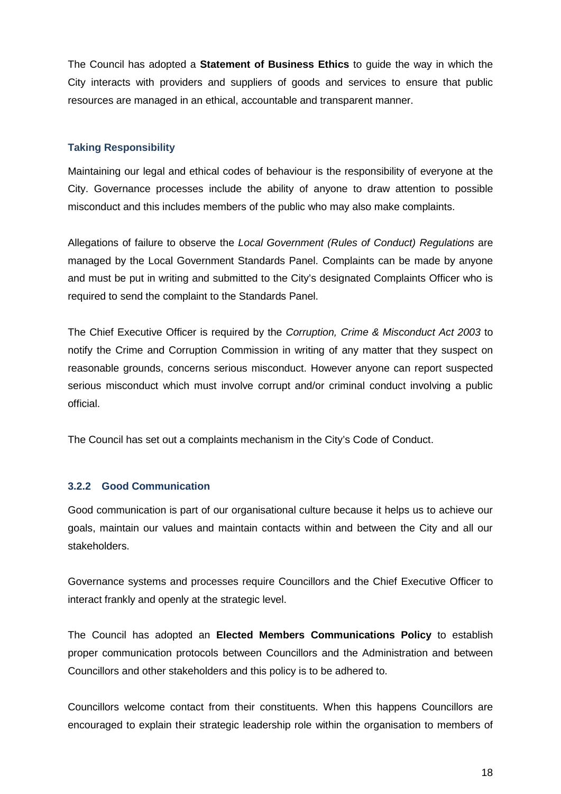The Council has adopted a **Statement of Business Ethics** to guide the way in which the City interacts with providers and suppliers of goods and services to ensure that public resources are managed in an ethical, accountable and transparent manner.

# **Taking Responsibility**

Maintaining our legal and ethical codes of behaviour is the responsibility of everyone at the City. Governance processes include the ability of anyone to draw attention to possible misconduct and this includes members of the public who may also make complaints.

Allegations of failure to observe the *Local Government (Rules of Conduct) Regulations* are managed by the Local Government Standards Panel. Complaints can be made by anyone and must be put in writing and submitted to the City's designated Complaints Officer who is required to send the complaint to the Standards Panel.

The Chief Executive Officer is required by the *Corruption, Crime & Misconduct Act 2003* to notify the Crime and Corruption Commission in writing of any matter that they suspect on reasonable grounds, concerns serious misconduct. However anyone can report suspected serious misconduct which must involve corrupt and/or criminal conduct involving a public official.

The Council has set out a complaints mechanism in the City's Code of Conduct.

# <span id="page-17-0"></span>**3.2.2 Good Communication**

Good communication is part of our organisational culture because it helps us to achieve our goals, maintain our values and maintain contacts within and between the City and all our stakeholders.

Governance systems and processes require Councillors and the Chief Executive Officer to interact frankly and openly at the strategic level.

The Council has adopted an **Elected Members Communications Policy** to establish proper communication protocols between Councillors and the Administration and between Councillors and other stakeholders and this policy is to be adhered to.

Councillors welcome contact from their constituents. When this happens Councillors are encouraged to explain their strategic leadership role within the organisation to members of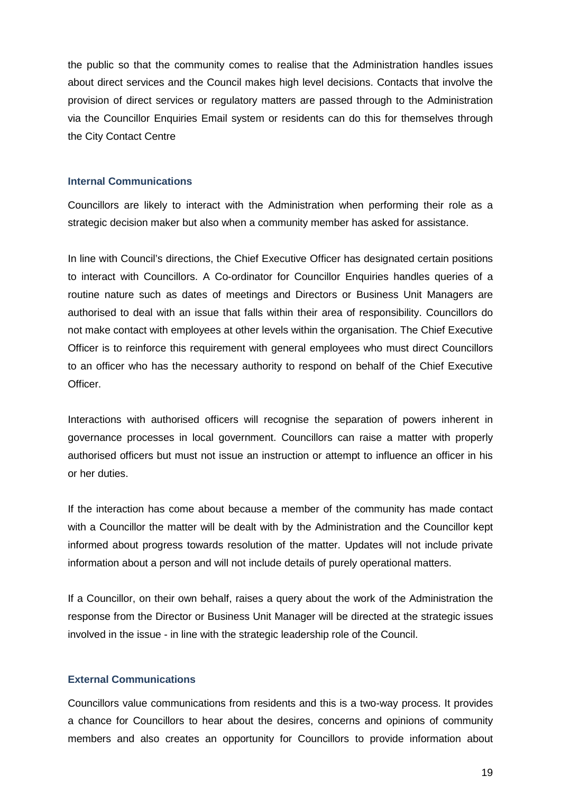the public so that the community comes to realise that the Administration handles issues about direct services and the Council makes high level decisions. Contacts that involve the provision of direct services or regulatory matters are passed through to the Administration via the Councillor Enquiries Email system or residents can do this for themselves through the City Contact Centre

# **Internal Communications**

Councillors are likely to interact with the Administration when performing their role as a strategic decision maker but also when a community member has asked for assistance.

In line with Council's directions, the Chief Executive Officer has designated certain positions to interact with Councillors. A Co-ordinator for Councillor Enquiries handles queries of a routine nature such as dates of meetings and Directors or Business Unit Managers are authorised to deal with an issue that falls within their area of responsibility. Councillors do not make contact with employees at other levels within the organisation. The Chief Executive Officer is to reinforce this requirement with general employees who must direct Councillors to an officer who has the necessary authority to respond on behalf of the Chief Executive Officer.

Interactions with authorised officers will recognise the separation of powers inherent in governance processes in local government. Councillors can raise a matter with properly authorised officers but must not issue an instruction or attempt to influence an officer in his or her duties.

If the interaction has come about because a member of the community has made contact with a Councillor the matter will be dealt with by the Administration and the Councillor kept informed about progress towards resolution of the matter. Updates will not include private information about a person and will not include details of purely operational matters.

If a Councillor, on their own behalf, raises a query about the work of the Administration the response from the Director or Business Unit Manager will be directed at the strategic issues involved in the issue - in line with the strategic leadership role of the Council.

# **External Communications**

Councillors value communications from residents and this is a two-way process. It provides a chance for Councillors to hear about the desires, concerns and opinions of community members and also creates an opportunity for Councillors to provide information about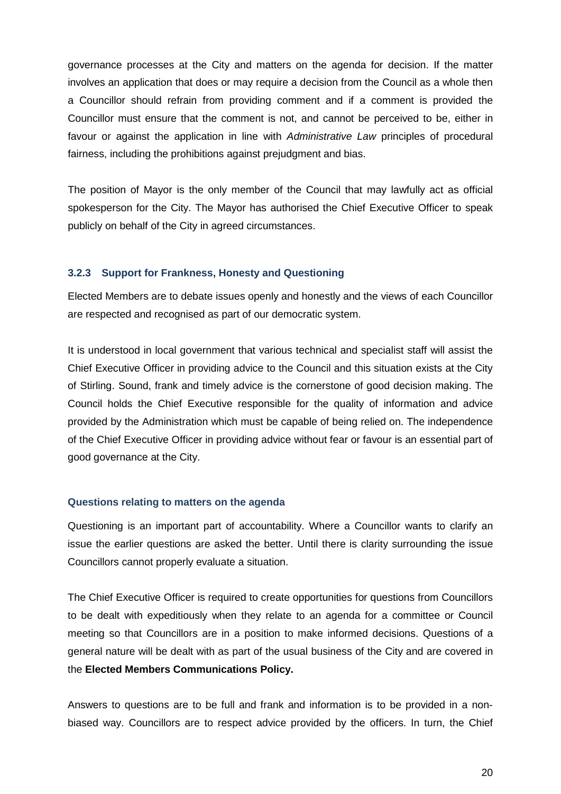governance processes at the City and matters on the agenda for decision. If the matter involves an application that does or may require a decision from the Council as a whole then a Councillor should refrain from providing comment and if a comment is provided the Councillor must ensure that the comment is not, and cannot be perceived to be, either in favour or against the application in line with *Administrative Law* principles of procedural fairness, including the prohibitions against prejudgment and bias.

The position of Mayor is the only member of the Council that may lawfully act as official spokesperson for the City. The Mayor has authorised the Chief Executive Officer to speak publicly on behalf of the City in agreed circumstances.

#### <span id="page-19-0"></span>**3.2.3 Support for Frankness, Honesty and Questioning**

Elected Members are to debate issues openly and honestly and the views of each Councillor are respected and recognised as part of our democratic system.

It is understood in local government that various technical and specialist staff will assist the Chief Executive Officer in providing advice to the Council and this situation exists at the City of Stirling. Sound, frank and timely advice is the cornerstone of good decision making. The Council holds the Chief Executive responsible for the quality of information and advice provided by the Administration which must be capable of being relied on. The independence of the Chief Executive Officer in providing advice without fear or favour is an essential part of good governance at the City.

#### **Questions relating to matters on the agenda**

Questioning is an important part of accountability. Where a Councillor wants to clarify an issue the earlier questions are asked the better. Until there is clarity surrounding the issue Councillors cannot properly evaluate a situation.

The Chief Executive Officer is required to create opportunities for questions from Councillors to be dealt with expeditiously when they relate to an agenda for a committee or Council meeting so that Councillors are in a position to make informed decisions. Questions of a general nature will be dealt with as part of the usual business of the City and are covered in the **Elected Members Communications Policy.**

Answers to questions are to be full and frank and information is to be provided in a nonbiased way. Councillors are to respect advice provided by the officers. In turn, the Chief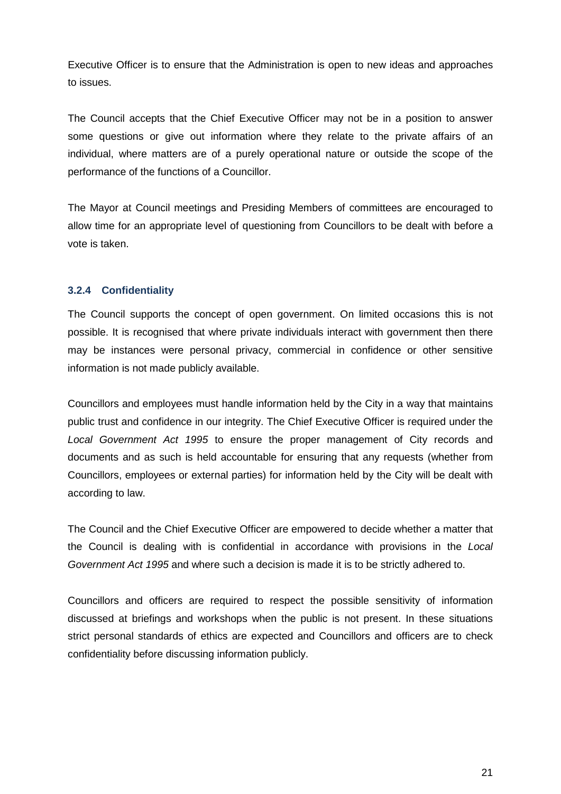Executive Officer is to ensure that the Administration is open to new ideas and approaches to issues.

The Council accepts that the Chief Executive Officer may not be in a position to answer some questions or give out information where they relate to the private affairs of an individual, where matters are of a purely operational nature or outside the scope of the performance of the functions of a Councillor.

The Mayor at Council meetings and Presiding Members of committees are encouraged to allow time for an appropriate level of questioning from Councillors to be dealt with before a vote is taken.

# <span id="page-20-0"></span>**3.2.4 Confidentiality**

The Council supports the concept of open government. On limited occasions this is not possible. It is recognised that where private individuals interact with government then there may be instances were personal privacy, commercial in confidence or other sensitive information is not made publicly available.

Councillors and employees must handle information held by the City in a way that maintains public trust and confidence in our integrity. The Chief Executive Officer is required under the *Local Government Act 1995* to ensure the proper management of City records and documents and as such is held accountable for ensuring that any requests (whether from Councillors, employees or external parties) for information held by the City will be dealt with according to law.

The Council and the Chief Executive Officer are empowered to decide whether a matter that the Council is dealing with is confidential in accordance with provisions in the *Local Government Act 1995* and where such a decision is made it is to be strictly adhered to.

Councillors and officers are required to respect the possible sensitivity of information discussed at briefings and workshops when the public is not present. In these situations strict personal standards of ethics are expected and Councillors and officers are to check confidentiality before discussing information publicly.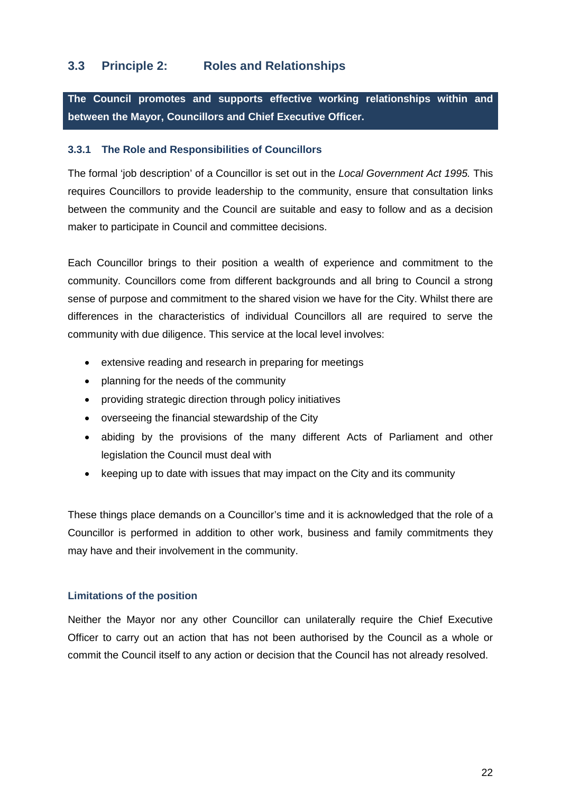# <span id="page-21-0"></span>**3.3 Principle 2: Roles and Relationships**

**The Council promotes and supports effective working relationships within and between the Mayor, Councillors and Chief Executive Officer.**

# <span id="page-21-1"></span>**3.3.1 The Role and Responsibilities of Councillors**

The formal 'job description' of a Councillor is set out in the *Local Government Act 1995.* This requires Councillors to provide leadership to the community, ensure that consultation links between the community and the Council are suitable and easy to follow and as a decision maker to participate in Council and committee decisions.

Each Councillor brings to their position a wealth of experience and commitment to the community. Councillors come from different backgrounds and all bring to Council a strong sense of purpose and commitment to the shared vision we have for the City. Whilst there are differences in the characteristics of individual Councillors all are required to serve the community with due diligence. This service at the local level involves:

- extensive reading and research in preparing for meetings
- planning for the needs of the community
- providing strategic direction through policy initiatives
- overseeing the financial stewardship of the City
- abiding by the provisions of the many different Acts of Parliament and other legislation the Council must deal with
- keeping up to date with issues that may impact on the City and its community

These things place demands on a Councillor's time and it is acknowledged that the role of a Councillor is performed in addition to other work, business and family commitments they may have and their involvement in the community.

# **Limitations of the position**

Neither the Mayor nor any other Councillor can unilaterally require the Chief Executive Officer to carry out an action that has not been authorised by the Council as a whole or commit the Council itself to any action or decision that the Council has not already resolved.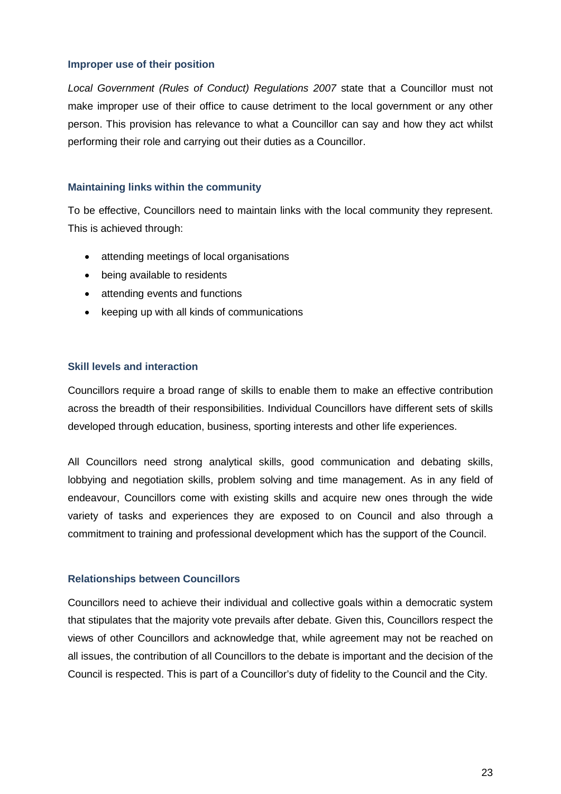#### **Improper use of their position**

*Local Government (Rules of Conduct) Regulations 2007* state that a Councillor must not make improper use of their office to cause detriment to the local government or any other person. This provision has relevance to what a Councillor can say and how they act whilst performing their role and carrying out their duties as a Councillor.

# **Maintaining links within the community**

To be effective, Councillors need to maintain links with the local community they represent. This is achieved through:

- attending meetings of local organisations
- being available to residents
- attending events and functions
- keeping up with all kinds of communications

# **Skill levels and interaction**

Councillors require a broad range of skills to enable them to make an effective contribution across the breadth of their responsibilities. Individual Councillors have different sets of skills developed through education, business, sporting interests and other life experiences.

All Councillors need strong analytical skills, good communication and debating skills, lobbying and negotiation skills, problem solving and time management. As in any field of endeavour, Councillors come with existing skills and acquire new ones through the wide variety of tasks and experiences they are exposed to on Council and also through a commitment to training and professional development which has the support of the Council.

# **Relationships between Councillors**

Councillors need to achieve their individual and collective goals within a democratic system that stipulates that the majority vote prevails after debate. Given this, Councillors respect the views of other Councillors and acknowledge that, while agreement may not be reached on all issues, the contribution of all Councillors to the debate is important and the decision of the Council is respected. This is part of a Councillor's duty of fidelity to the Council and the City.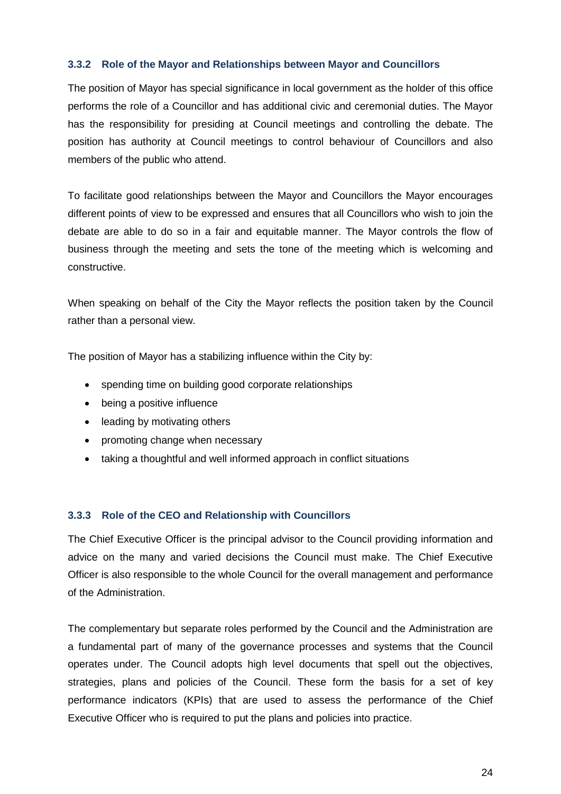# <span id="page-23-0"></span>**3.3.2 Role of the Mayor and Relationships between Mayor and Councillors**

The position of Mayor has special significance in local government as the holder of this office performs the role of a Councillor and has additional civic and ceremonial duties. The Mayor has the responsibility for presiding at Council meetings and controlling the debate. The position has authority at Council meetings to control behaviour of Councillors and also members of the public who attend.

To facilitate good relationships between the Mayor and Councillors the Mayor encourages different points of view to be expressed and ensures that all Councillors who wish to join the debate are able to do so in a fair and equitable manner. The Mayor controls the flow of business through the meeting and sets the tone of the meeting which is welcoming and constructive.

When speaking on behalf of the City the Mayor reflects the position taken by the Council rather than a personal view.

The position of Mayor has a stabilizing influence within the City by:

- spending time on building good corporate relationships
- being a positive influence
- leading by motivating others
- promoting change when necessary
- taking a thoughtful and well informed approach in conflict situations

# <span id="page-23-1"></span>**3.3.3 Role of the CEO and Relationship with Councillors**

The Chief Executive Officer is the principal advisor to the Council providing information and advice on the many and varied decisions the Council must make. The Chief Executive Officer is also responsible to the whole Council for the overall management and performance of the Administration.

The complementary but separate roles performed by the Council and the Administration are a fundamental part of many of the governance processes and systems that the Council operates under. The Council adopts high level documents that spell out the objectives, strategies, plans and policies of the Council. These form the basis for a set of key performance indicators (KPIs) that are used to assess the performance of the Chief Executive Officer who is required to put the plans and policies into practice.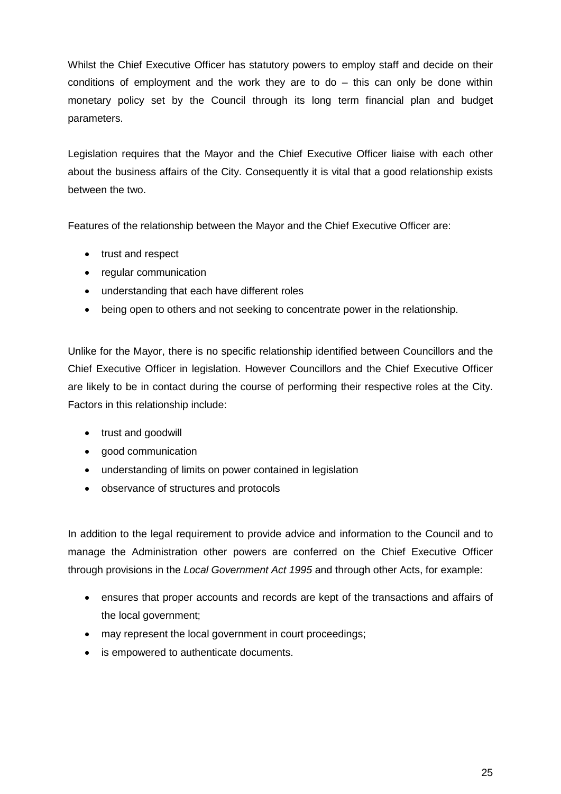Whilst the Chief Executive Officer has statutory powers to employ staff and decide on their conditions of employment and the work they are to  $do -$  this can only be done within monetary policy set by the Council through its long term financial plan and budget parameters.

Legislation requires that the Mayor and the Chief Executive Officer liaise with each other about the business affairs of the City. Consequently it is vital that a good relationship exists between the two.

Features of the relationship between the Mayor and the Chief Executive Officer are:

- trust and respect
- regular communication
- understanding that each have different roles
- being open to others and not seeking to concentrate power in the relationship.

Unlike for the Mayor, there is no specific relationship identified between Councillors and the Chief Executive Officer in legislation. However Councillors and the Chief Executive Officer are likely to be in contact during the course of performing their respective roles at the City. Factors in this relationship include:

- trust and goodwill
- good communication
- understanding of limits on power contained in legislation
- observance of structures and protocols

In addition to the legal requirement to provide advice and information to the Council and to manage the Administration other powers are conferred on the Chief Executive Officer through provisions in the *Local Government Act 1995* and through other Acts, for example:

- ensures that proper accounts and records are kept of the transactions and affairs of the local government;
- may represent the local government in court proceedings;
- is empowered to authenticate documents.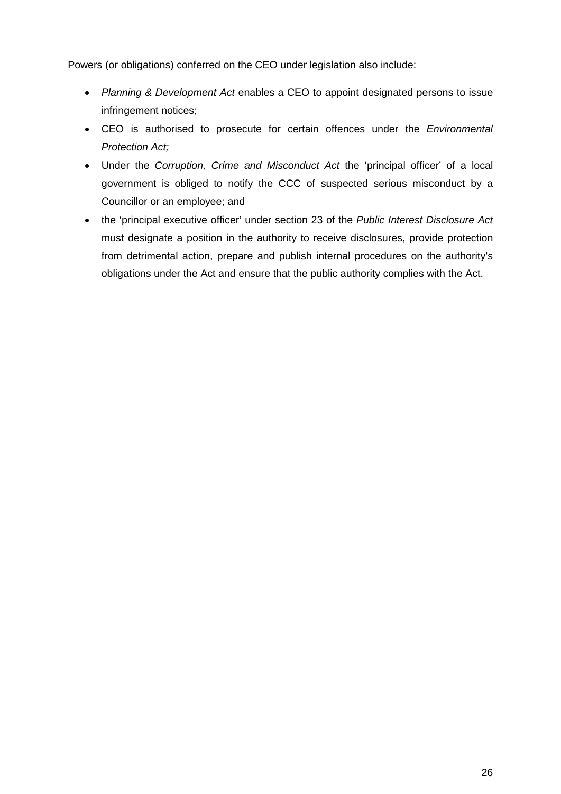Powers (or obligations) conferred on the CEO under legislation also include:

- *Planning & Development Act* enables a CEO to appoint designated persons to issue infringement notices;
- CEO is authorised to prosecute for certain offences under the *Environmental Protection Act;*
- Under the *Corruption, Crime and Misconduct Act* the 'principal officer' of a local government is obliged to notify the CCC of suspected serious misconduct by a Councillor or an employee; and
- the 'principal executive officer' under section 23 of the *Public Interest Disclosure Act*  must designate a position in the authority to receive disclosures, provide protection from detrimental action, prepare and publish internal procedures on the authority's obligations under the Act and ensure that the public authority complies with the Act.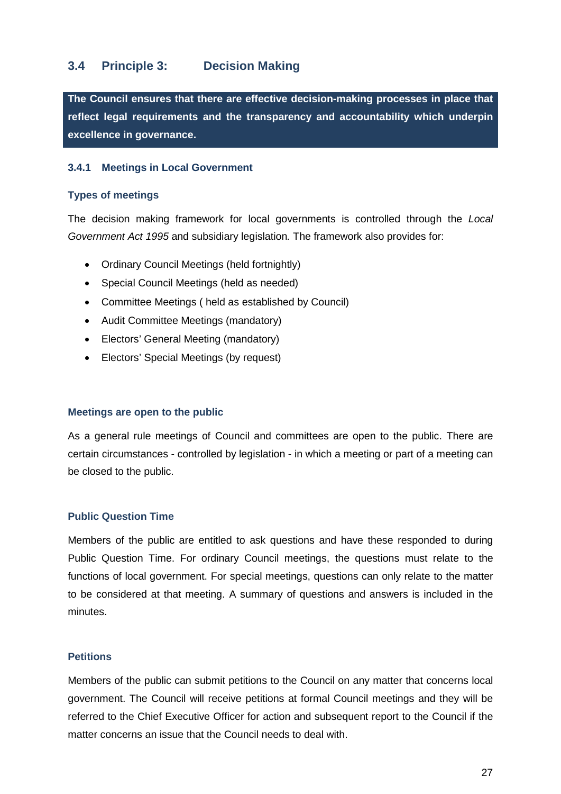# <span id="page-26-0"></span>**3.4 Principle 3: Decision Making**

**The Council ensures that there are effective decision-making processes in place that reflect legal requirements and the transparency and accountability which underpin excellence in governance.**

# <span id="page-26-1"></span>**3.4.1 Meetings in Local Government**

#### **Types of meetings**

The decision making framework for local governments is controlled through the *Local Government Act 1995* and subsidiary legislation*.* The framework also provides for:

- Ordinary Council Meetings (held fortnightly)
- Special Council Meetings (held as needed)
- Committee Meetings ( held as established by Council)
- Audit Committee Meetings (mandatory)
- Electors' General Meeting (mandatory)
- Electors' Special Meetings (by request)

# **Meetings are open to the public**

As a general rule meetings of Council and committees are open to the public. There are certain circumstances - controlled by legislation - in which a meeting or part of a meeting can be closed to the public.

# **Public Question Time**

Members of the public are entitled to ask questions and have these responded to during Public Question Time. For ordinary Council meetings, the questions must relate to the functions of local government. For special meetings, questions can only relate to the matter to be considered at that meeting. A summary of questions and answers is included in the minutes.

# **Petitions**

Members of the public can submit petitions to the Council on any matter that concerns local government. The Council will receive petitions at formal Council meetings and they will be referred to the Chief Executive Officer for action and subsequent report to the Council if the matter concerns an issue that the Council needs to deal with.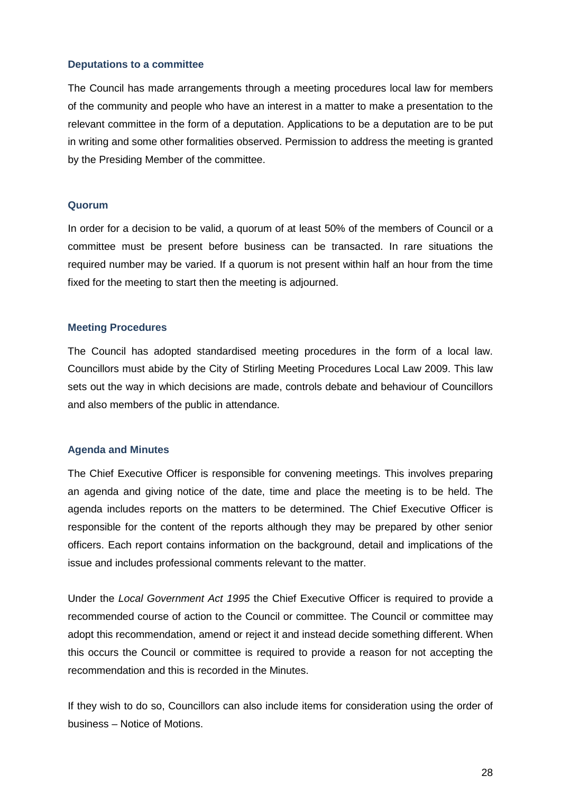# **Deputations to a committee**

The Council has made arrangements through a meeting procedures local law for members of the community and people who have an interest in a matter to make a presentation to the relevant committee in the form of a deputation. Applications to be a deputation are to be put in writing and some other formalities observed. Permission to address the meeting is granted by the Presiding Member of the committee.

# **Quorum**

In order for a decision to be valid, a quorum of at least 50% of the members of Council or a committee must be present before business can be transacted. In rare situations the required number may be varied. If a quorum is not present within half an hour from the time fixed for the meeting to start then the meeting is adjourned.

#### **Meeting Procedures**

The Council has adopted standardised meeting procedures in the form of a local law. Councillors must abide by the City of Stirling Meeting Procedures Local Law 2009. This law sets out the way in which decisions are made, controls debate and behaviour of Councillors and also members of the public in attendance.

#### **Agenda and Minutes**

The Chief Executive Officer is responsible for convening meetings. This involves preparing an agenda and giving notice of the date, time and place the meeting is to be held. The agenda includes reports on the matters to be determined. The Chief Executive Officer is responsible for the content of the reports although they may be prepared by other senior officers. Each report contains information on the background, detail and implications of the issue and includes professional comments relevant to the matter.

Under the *Local Government Act 1995* the Chief Executive Officer is required to provide a recommended course of action to the Council or committee. The Council or committee may adopt this recommendation, amend or reject it and instead decide something different. When this occurs the Council or committee is required to provide a reason for not accepting the recommendation and this is recorded in the Minutes.

If they wish to do so, Councillors can also include items for consideration using the order of business – Notice of Motions.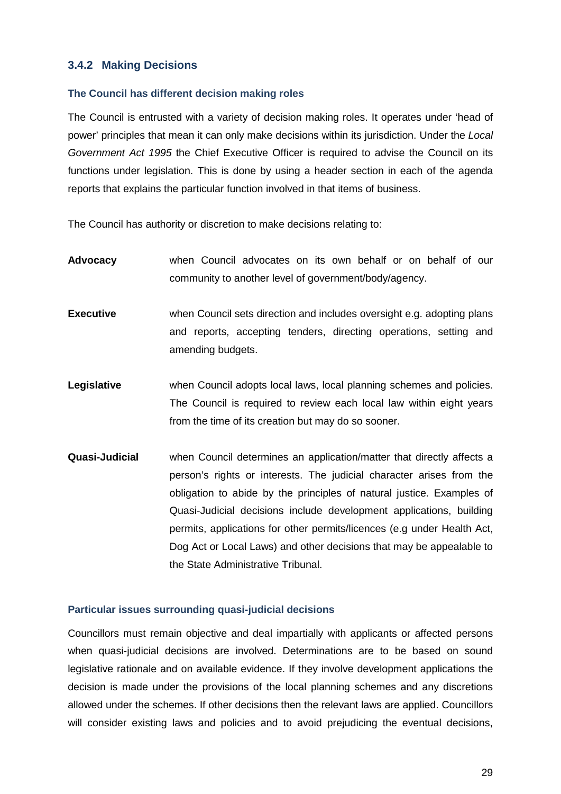# <span id="page-28-0"></span>**3.4.2 Making Decisions**

#### **The Council has different decision making roles**

The Council is entrusted with a variety of decision making roles. It operates under 'head of power' principles that mean it can only make decisions within its jurisdiction. Under the *Local Government Act 1995* the Chief Executive Officer is required to advise the Council on its functions under legislation. This is done by using a header section in each of the agenda reports that explains the particular function involved in that items of business.

The Council has authority or discretion to make decisions relating to:

- **Advocacy** when Council advocates on its own behalf or on behalf of our community to another level of government/body/agency.
- **Executive** when Council sets direction and includes oversight e.g. adopting plans and reports, accepting tenders, directing operations, setting and amending budgets.
- **Legislative** when Council adopts local laws, local planning schemes and policies. The Council is required to review each local law within eight years from the time of its creation but may do so sooner.
- **Quasi-Judicial** when Council determines an application/matter that directly affects a person's rights or interests. The judicial character arises from the obligation to abide by the principles of natural justice. Examples of Quasi-Judicial decisions include development applications, building permits, applications for other permits/licences (e.g under Health Act, Dog Act or Local Laws) and other decisions that may be appealable to the State Administrative Tribunal.

#### **Particular issues surrounding quasi-judicial decisions**

Councillors must remain objective and deal impartially with applicants or affected persons when quasi-judicial decisions are involved. Determinations are to be based on sound legislative rationale and on available evidence. If they involve development applications the decision is made under the provisions of the local planning schemes and any discretions allowed under the schemes. If other decisions then the relevant laws are applied. Councillors will consider existing laws and policies and to avoid prejudicing the eventual decisions,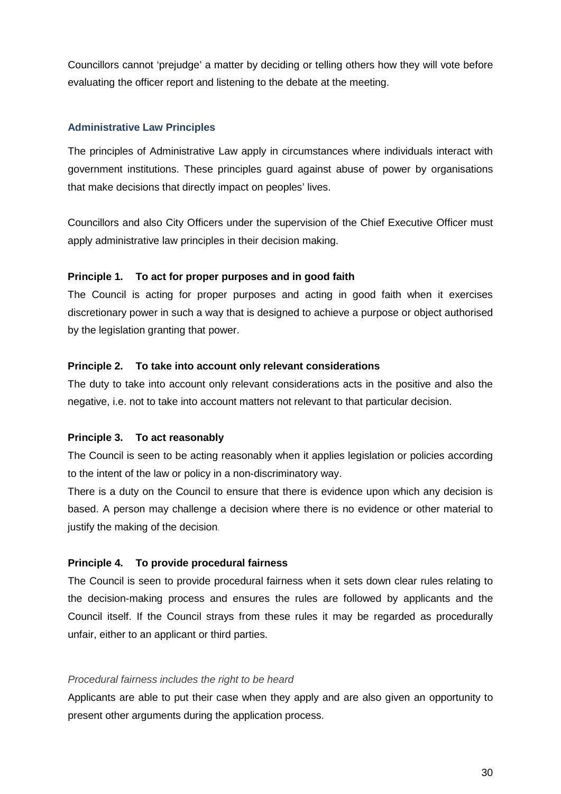Councillors cannot 'prejudge' a matter by deciding or telling others how they will vote before evaluating the officer report and listening to the debate at the meeting.

# **Administrative Law Principles**

The principles of Administrative Law apply in circumstances where individuals interact with government institutions. These principles guard against abuse of power by organisations that make decisions that directly impact on peoples' lives.

Councillors and also City Officers under the supervision of the Chief Executive Officer must apply administrative law principles in their decision making.

# **Principle 1. To act for proper purposes and in good faith**

The Council is acting for proper purposes and acting in good faith when it exercises discretionary power in such a way that is designed to achieve a purpose or object authorised by the legislation granting that power.

# **Principle 2. To take into account only relevant considerations**

The duty to take into account only relevant considerations acts in the positive and also the negative, i.e. not to take into account matters not relevant to that particular decision.

# **Principle 3. To act reasonably**

The Council is seen to be acting reasonably when it applies legislation or policies according to the intent of the law or policy in a non-discriminatory way.

There is a duty on the Council to ensure that there is evidence upon which any decision is based. A person may challenge a decision where there is no evidence or other material to justify the making of the decision.

# **Principle 4. To provide procedural fairness**

The Council is seen to provide procedural fairness when it sets down clear rules relating to the decision-making process and ensures the rules are followed by applicants and the Council itself. If the Council strays from these rules it may be regarded as procedurally unfair, either to an applicant or third parties.

# *Procedural fairness includes the right to be heard*

Applicants are able to put their case when they apply and are also given an opportunity to present other arguments during the application process.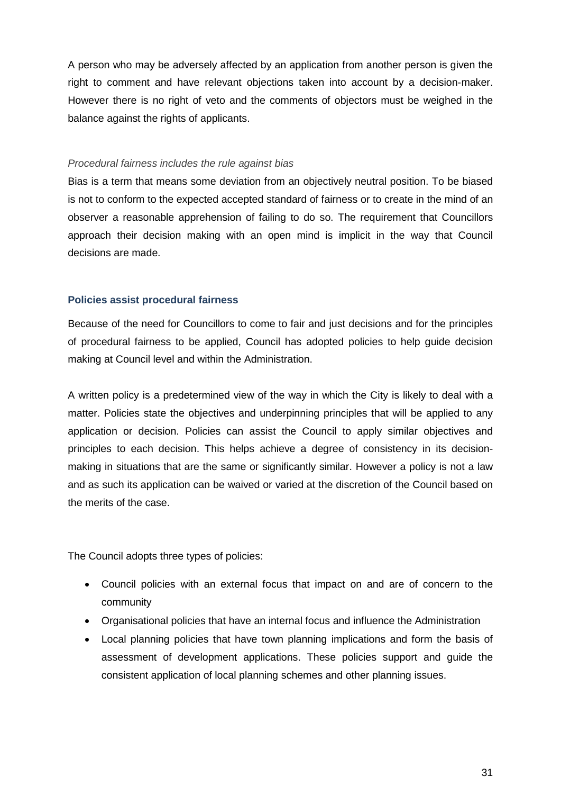A person who may be adversely affected by an application from another person is given the right to comment and have relevant objections taken into account by a decision-maker. However there is no right of veto and the comments of objectors must be weighed in the balance against the rights of applicants.

#### *Procedural fairness includes the rule against bias*

Bias is a term that means some deviation from an objectively neutral position. To be biased is not to conform to the expected accepted standard of fairness or to create in the mind of an observer a reasonable apprehension of failing to do so. The requirement that Councillors approach their decision making with an open mind is implicit in the way that Council decisions are made.

# **Policies assist procedural fairness**

Because of the need for Councillors to come to fair and just decisions and for the principles of procedural fairness to be applied, Council has adopted policies to help guide decision making at Council level and within the Administration.

A written policy is a predetermined view of the way in which the City is likely to deal with a matter. Policies state the objectives and underpinning principles that will be applied to any application or decision. Policies can assist the Council to apply similar objectives and principles to each decision. This helps achieve a degree of consistency in its decisionmaking in situations that are the same or significantly similar. However a policy is not a law and as such its application can be waived or varied at the discretion of the Council based on the merits of the case.

The Council adopts three types of policies:

- Council policies with an external focus that impact on and are of concern to the community
- Organisational policies that have an internal focus and influence the Administration
- Local planning policies that have town planning implications and form the basis of assessment of development applications. These policies support and guide the consistent application of local planning schemes and other planning issues.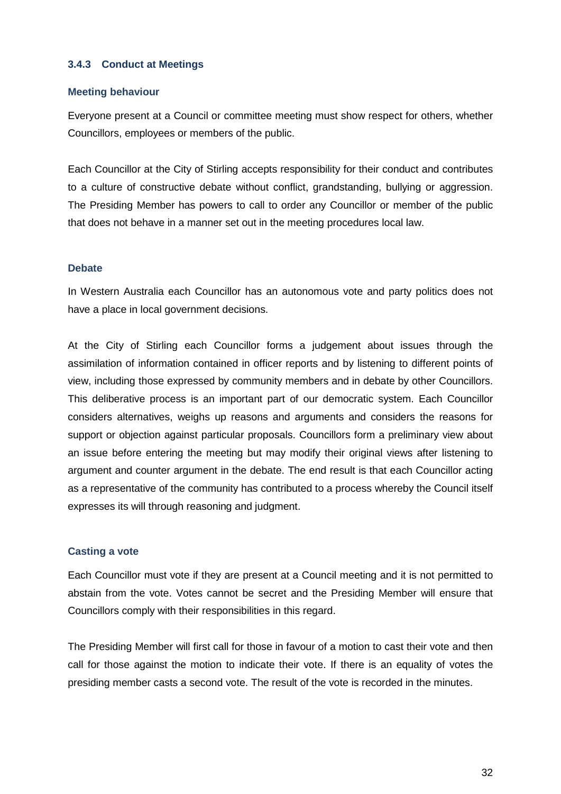# <span id="page-31-0"></span>**3.4.3 Conduct at Meetings**

#### **Meeting behaviour**

Everyone present at a Council or committee meeting must show respect for others, whether Councillors, employees or members of the public.

Each Councillor at the City of Stirling accepts responsibility for their conduct and contributes to a culture of constructive debate without conflict, grandstanding, bullying or aggression. The Presiding Member has powers to call to order any Councillor or member of the public that does not behave in a manner set out in the meeting procedures local law.

# **Debate**

In Western Australia each Councillor has an autonomous vote and party politics does not have a place in local government decisions.

At the City of Stirling each Councillor forms a judgement about issues through the assimilation of information contained in officer reports and by listening to different points of view, including those expressed by community members and in debate by other Councillors. This deliberative process is an important part of our democratic system. Each Councillor considers alternatives, weighs up reasons and arguments and considers the reasons for support or objection against particular proposals. Councillors form a preliminary view about an issue before entering the meeting but may modify their original views after listening to argument and counter argument in the debate. The end result is that each Councillor acting as a representative of the community has contributed to a process whereby the Council itself expresses its will through reasoning and judgment.

# **Casting a vote**

Each Councillor must vote if they are present at a Council meeting and it is not permitted to abstain from the vote. Votes cannot be secret and the Presiding Member will ensure that Councillors comply with their responsibilities in this regard.

The Presiding Member will first call for those in favour of a motion to cast their vote and then call for those against the motion to indicate their vote. If there is an equality of votes the presiding member casts a second vote. The result of the vote is recorded in the minutes.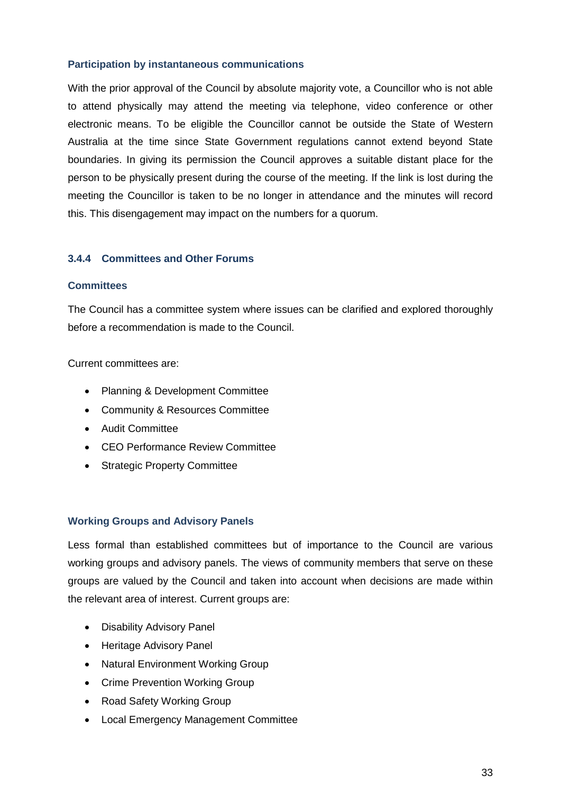# **Participation by instantaneous communications**

With the prior approval of the Council by absolute majority vote, a Councillor who is not able to attend physically may attend the meeting via telephone, video conference or other electronic means. To be eligible the Councillor cannot be outside the State of Western Australia at the time since State Government regulations cannot extend beyond State boundaries. In giving its permission the Council approves a suitable distant place for the person to be physically present during the course of the meeting. If the link is lost during the meeting the Councillor is taken to be no longer in attendance and the minutes will record this. This disengagement may impact on the numbers for a quorum.

# <span id="page-32-0"></span>**3.4.4 Committees and Other Forums**

#### **Committees**

The Council has a committee system where issues can be clarified and explored thoroughly before a recommendation is made to the Council.

Current committees are:

- Planning & Development Committee
- Community & Resources Committee
- Audit Committee
- CEO Performance Review Committee
- Strategic Property Committee

# **Working Groups and Advisory Panels**

Less formal than established committees but of importance to the Council are various working groups and advisory panels. The views of community members that serve on these groups are valued by the Council and taken into account when decisions are made within the relevant area of interest. Current groups are:

- Disability Advisory Panel
- Heritage Advisory Panel
- Natural Environment Working Group
- Crime Prevention Working Group
- Road Safety Working Group
- Local Emergency Management Committee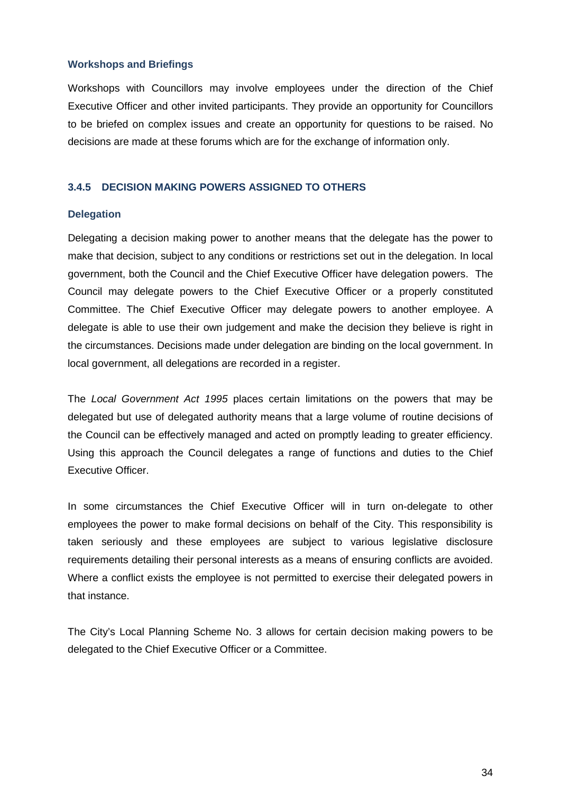#### **Workshops and Briefings**

Workshops with Councillors may involve employees under the direction of the Chief Executive Officer and other invited participants. They provide an opportunity for Councillors to be briefed on complex issues and create an opportunity for questions to be raised. No decisions are made at these forums which are for the exchange of information only.

# <span id="page-33-0"></span>**3.4.5 DECISION MAKING POWERS ASSIGNED TO OTHERS**

#### **Delegation**

Delegating a decision making power to another means that the delegate has the power to make that decision, subject to any conditions or restrictions set out in the delegation. In local government, both the Council and the Chief Executive Officer have delegation powers. The Council may delegate powers to the Chief Executive Officer or a properly constituted Committee. The Chief Executive Officer may delegate powers to another employee. A delegate is able to use their own judgement and make the decision they believe is right in the circumstances. Decisions made under delegation are binding on the local government. In local government, all delegations are recorded in a register.

The *Local Government Act 1995* places certain limitations on the powers that may be delegated but use of delegated authority means that a large volume of routine decisions of the Council can be effectively managed and acted on promptly leading to greater efficiency. Using this approach the Council delegates a range of functions and duties to the Chief Executive Officer.

In some circumstances the Chief Executive Officer will in turn on-delegate to other employees the power to make formal decisions on behalf of the City. This responsibility is taken seriously and these employees are subject to various legislative disclosure requirements detailing their personal interests as a means of ensuring conflicts are avoided. Where a conflict exists the employee is not permitted to exercise their delegated powers in that instance.

The City's Local Planning Scheme No. 3 allows for certain decision making powers to be delegated to the Chief Executive Officer or a Committee.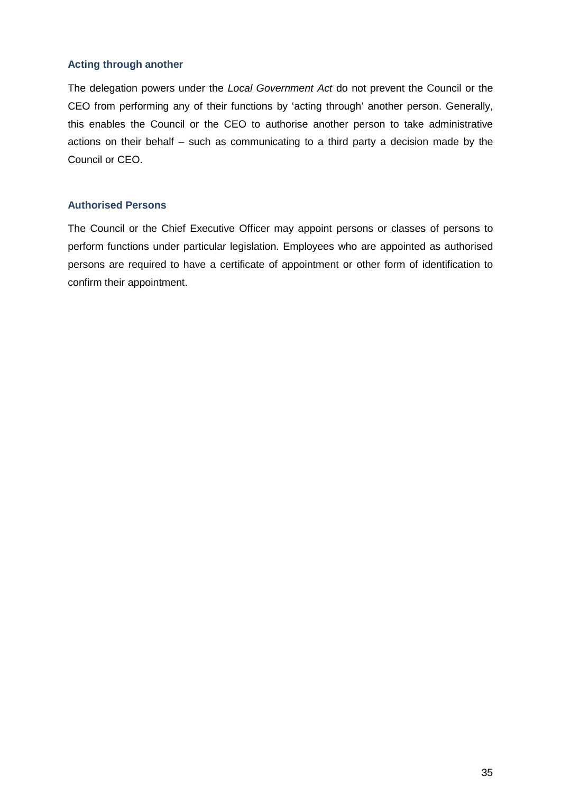# **Acting through another**

The delegation powers under the *Local Government Act* do not prevent the Council or the CEO from performing any of their functions by 'acting through' another person. Generally, this enables the Council or the CEO to authorise another person to take administrative actions on their behalf – such as communicating to a third party a decision made by the Council or CEO.

# **Authorised Persons**

The Council or the Chief Executive Officer may appoint persons or classes of persons to perform functions under particular legislation. Employees who are appointed as authorised persons are required to have a certificate of appointment or other form of identification to confirm their appointment.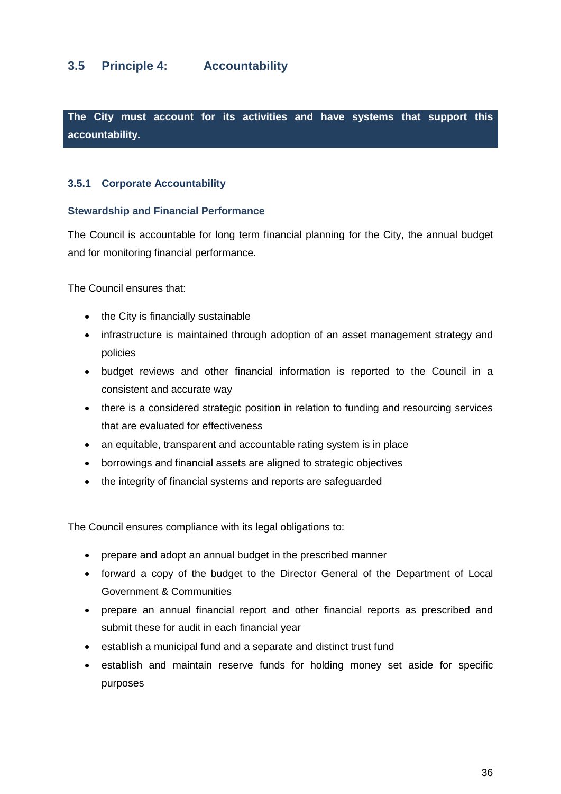# <span id="page-35-0"></span>**3.5 Principle 4: Accountability**

**The City must account for its activities and have systems that support this accountability.**

# <span id="page-35-1"></span>**3.5.1 Corporate Accountability**

#### **Stewardship and Financial Performance**

The Council is accountable for long term financial planning for the City, the annual budget and for monitoring financial performance.

The Council ensures that:

- the City is financially sustainable
- infrastructure is maintained through adoption of an asset management strategy and policies
- budget reviews and other financial information is reported to the Council in a consistent and accurate way
- there is a considered strategic position in relation to funding and resourcing services that are evaluated for effectiveness
- an equitable, transparent and accountable rating system is in place
- borrowings and financial assets are aligned to strategic objectives
- the integrity of financial systems and reports are safeguarded

The Council ensures compliance with its legal obligations to:

- prepare and adopt an annual budget in the prescribed manner
- forward a copy of the budget to the Director General of the Department of Local Government & Communities
- prepare an annual financial report and other financial reports as prescribed and submit these for audit in each financial year
- establish a municipal fund and a separate and distinct trust fund
- establish and maintain reserve funds for holding money set aside for specific purposes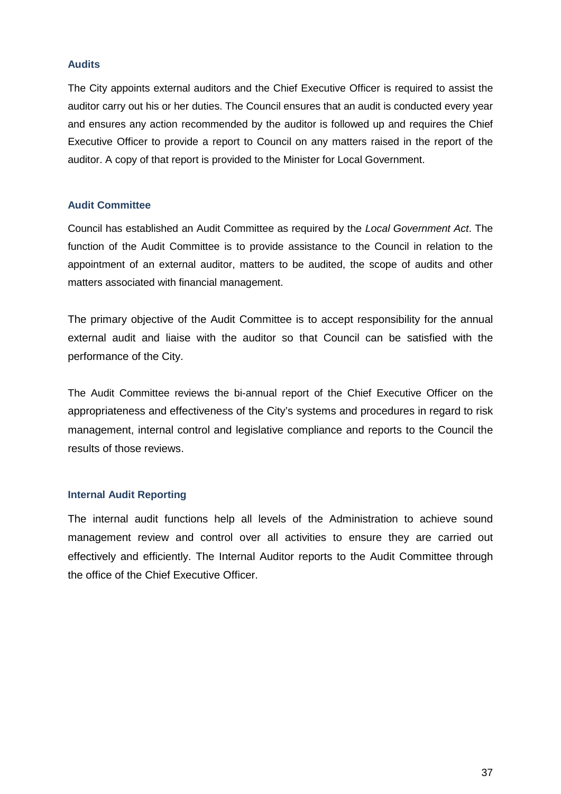#### **Audits**

The City appoints external auditors and the Chief Executive Officer is required to assist the auditor carry out his or her duties. The Council ensures that an audit is conducted every year and ensures any action recommended by the auditor is followed up and requires the Chief Executive Officer to provide a report to Council on any matters raised in the report of the auditor. A copy of that report is provided to the Minister for Local Government.

# **Audit Committee**

Council has established an Audit Committee as required by the *Local Government Act*. The function of the Audit Committee is to provide assistance to the Council in relation to the appointment of an external auditor, matters to be audited, the scope of audits and other matters associated with financial management.

The primary objective of the Audit Committee is to accept responsibility for the annual external audit and liaise with the auditor so that Council can be satisfied with the performance of the City.

The Audit Committee reviews the bi-annual report of the Chief Executive Officer on the appropriateness and effectiveness of the City's systems and procedures in regard to risk management, internal control and legislative compliance and reports to the Council the results of those reviews.

#### **Internal Audit Reporting**

The internal audit functions help all levels of the Administration to achieve sound management review and control over all activities to ensure they are carried out effectively and efficiently. The Internal Auditor reports to the Audit Committee through the office of the Chief Executive Officer.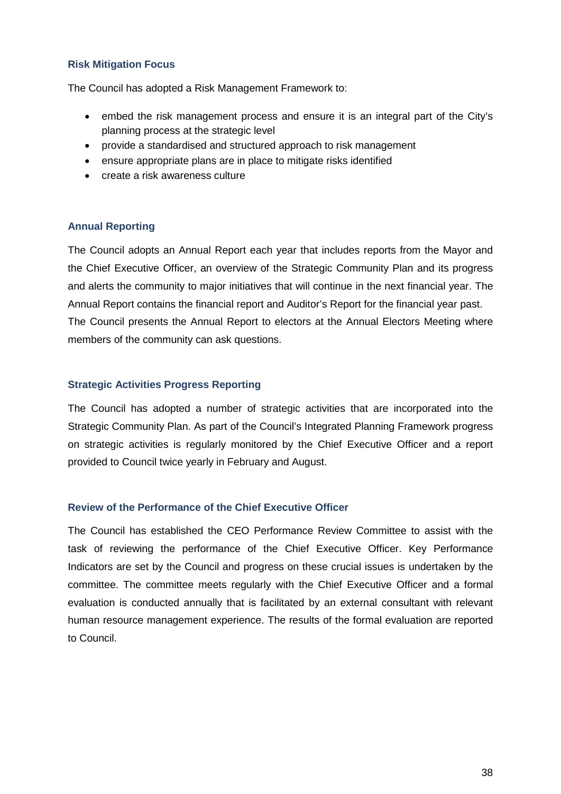# **Risk Mitigation Focus**

The Council has adopted a Risk Management Framework to:

- embed the risk management process and ensure it is an integral part of the City's planning process at the strategic level
- provide a standardised and structured approach to risk management
- ensure appropriate plans are in place to mitigate risks identified
- create a risk awareness culture

# **Annual Reporting**

The Council adopts an Annual Report each year that includes reports from the Mayor and the Chief Executive Officer, an overview of the Strategic Community Plan and its progress and alerts the community to major initiatives that will continue in the next financial year. The Annual Report contains the financial report and Auditor's Report for the financial year past. The Council presents the Annual Report to electors at the Annual Electors Meeting where members of the community can ask questions.

# **Strategic Activities Progress Reporting**

The Council has adopted a number of strategic activities that are incorporated into the Strategic Community Plan. As part of the Council's Integrated Planning Framework progress on strategic activities is regularly monitored by the Chief Executive Officer and a report provided to Council twice yearly in February and August.

# **Review of the Performance of the Chief Executive Officer**

The Council has established the CEO Performance Review Committee to assist with the task of reviewing the performance of the Chief Executive Officer. Key Performance Indicators are set by the Council and progress on these crucial issues is undertaken by the committee. The committee meets regularly with the Chief Executive Officer and a formal evaluation is conducted annually that is facilitated by an external consultant with relevant human resource management experience. The results of the formal evaluation are reported to Council.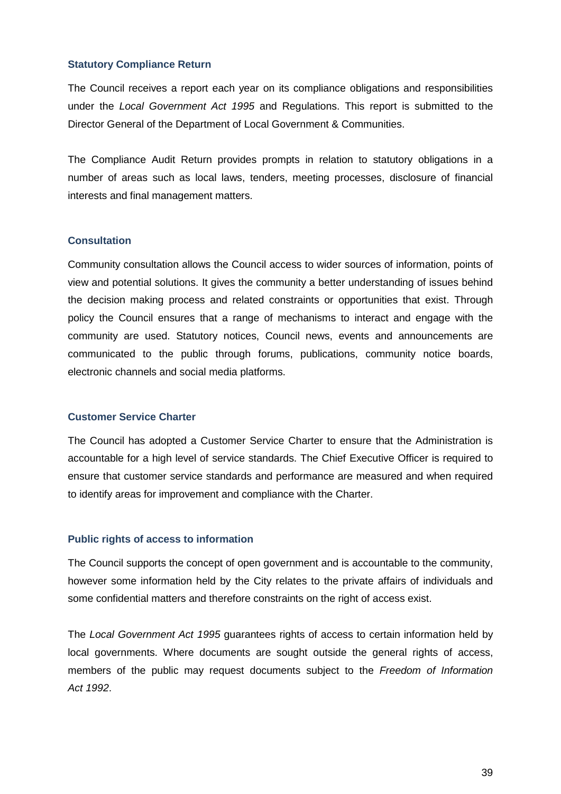#### **Statutory Compliance Return**

The Council receives a report each year on its compliance obligations and responsibilities under the *Local Government Act 1995* and Regulations. This report is submitted to the Director General of the Department of Local Government & Communities.

The Compliance Audit Return provides prompts in relation to statutory obligations in a number of areas such as local laws, tenders, meeting processes, disclosure of financial interests and final management matters.

#### **Consultation**

Community consultation allows the Council access to wider sources of information, points of view and potential solutions. It gives the community a better understanding of issues behind the decision making process and related constraints or opportunities that exist. Through policy the Council ensures that a range of mechanisms to interact and engage with the community are used. Statutory notices, Council news, events and announcements are communicated to the public through forums, publications, community notice boards, electronic channels and social media platforms.

#### **Customer Service Charter**

The Council has adopted a Customer Service Charter to ensure that the Administration is accountable for a high level of service standards. The Chief Executive Officer is required to ensure that customer service standards and performance are measured and when required to identify areas for improvement and compliance with the Charter.

#### **Public rights of access to information**

The Council supports the concept of open government and is accountable to the community, however some information held by the City relates to the private affairs of individuals and some confidential matters and therefore constraints on the right of access exist.

The *Local Government Act 1995* guarantees rights of access to certain information held by local governments. Where documents are sought outside the general rights of access, members of the public may request documents subject to the *Freedom of Information Act 1992*.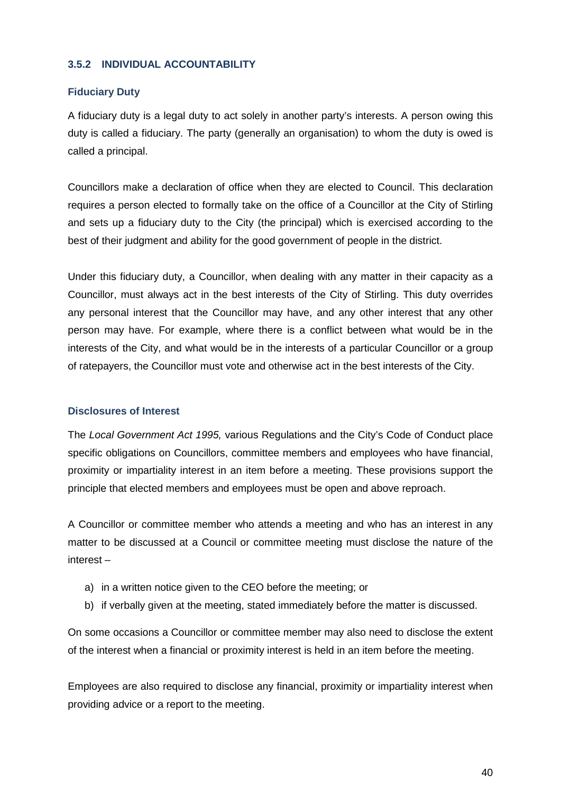# <span id="page-39-0"></span>**3.5.2 INDIVIDUAL ACCOUNTABILITY**

# **Fiduciary Duty**

A fiduciary duty is a legal duty to act solely in another party's interests. A person owing this duty is called a fiduciary. The party (generally an organisation) to whom the duty is owed is called a principal.

Councillors make a declaration of office when they are elected to Council. This declaration requires a person elected to formally take on the office of a Councillor at the City of Stirling and sets up a fiduciary duty to the City (the principal) which is exercised according to the best of their judgment and ability for the good government of people in the district.

Under this fiduciary duty, a Councillor, when dealing with any matter in their capacity as a Councillor, must always act in the best interests of the City of Stirling. This duty overrides any personal interest that the Councillor may have, and any other interest that any other person may have. For example, where there is a conflict between what would be in the interests of the City, and what would be in the interests of a particular Councillor or a group of ratepayers, the Councillor must vote and otherwise act in the best interests of the City.

# **Disclosures of Interest**

The *Local Government Act 1995,* various Regulations and the City's Code of Conduct place specific obligations on Councillors, committee members and employees who have financial, proximity or impartiality interest in an item before a meeting. These provisions support the principle that elected members and employees must be open and above reproach.

A Councillor or committee member who attends a meeting and who has an interest in any matter to be discussed at a Council or committee meeting must disclose the nature of the interest –

- a) in a written notice given to the CEO before the meeting; or
- b) if verbally given at the meeting, stated immediately before the matter is discussed.

On some occasions a Councillor or committee member may also need to disclose the extent of the interest when a financial or proximity interest is held in an item before the meeting.

Employees are also required to disclose any financial, proximity or impartiality interest when providing advice or a report to the meeting.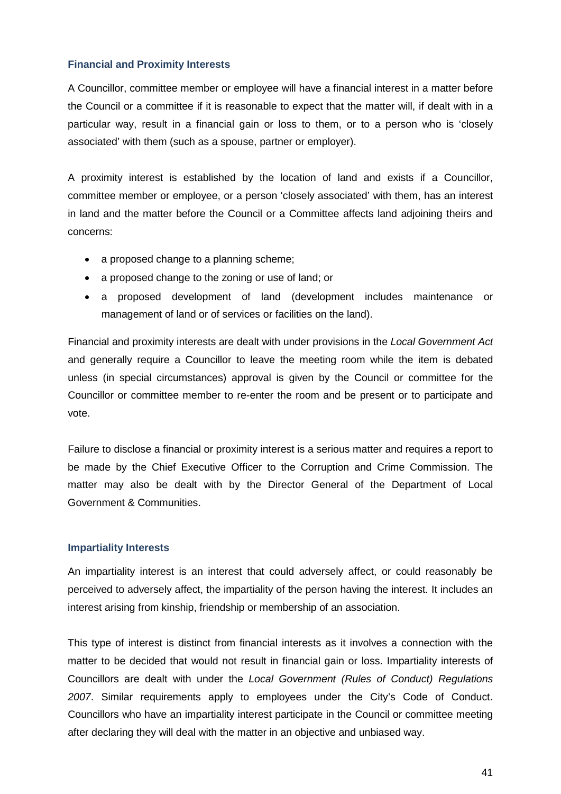# **Financial and Proximity Interests**

A Councillor, committee member or employee will have a financial interest in a matter before the Council or a committee if it is reasonable to expect that the matter will, if dealt with in a particular way, result in a financial gain or loss to them, or to a person who is 'closely associated' with them (such as a spouse, partner or employer).

A proximity interest is established by the location of land and exists if a Councillor, committee member or employee, or a person 'closely associated' with them, has an interest in land and the matter before the Council or a Committee affects land adjoining theirs and concerns:

- a proposed change to a planning scheme;
- a proposed change to the zoning or use of land; or
- a proposed development of land (development includes maintenance or management of land or of services or facilities on the land).

Financial and proximity interests are dealt with under provisions in the *Local Government Act*  and generally require a Councillor to leave the meeting room while the item is debated unless (in special circumstances) approval is given by the Council or committee for the Councillor or committee member to re-enter the room and be present or to participate and vote.

Failure to disclose a financial or proximity interest is a serious matter and requires a report to be made by the Chief Executive Officer to the Corruption and Crime Commission. The matter may also be dealt with by the Director General of the Department of Local Government & Communities.

# **Impartiality Interests**

An impartiality interest is an interest that could adversely affect, or could reasonably be perceived to adversely affect, the impartiality of the person having the interest. It includes an interest arising from kinship, friendship or membership of an association.

This type of interest is distinct from financial interests as it involves a connection with the matter to be decided that would not result in financial gain or loss. Impartiality interests of Councillors are dealt with under the *Local Government (Rules of Conduct) Regulations 2007*. Similar requirements apply to employees under the City's Code of Conduct. Councillors who have an impartiality interest participate in the Council or committee meeting after declaring they will deal with the matter in an objective and unbiased way.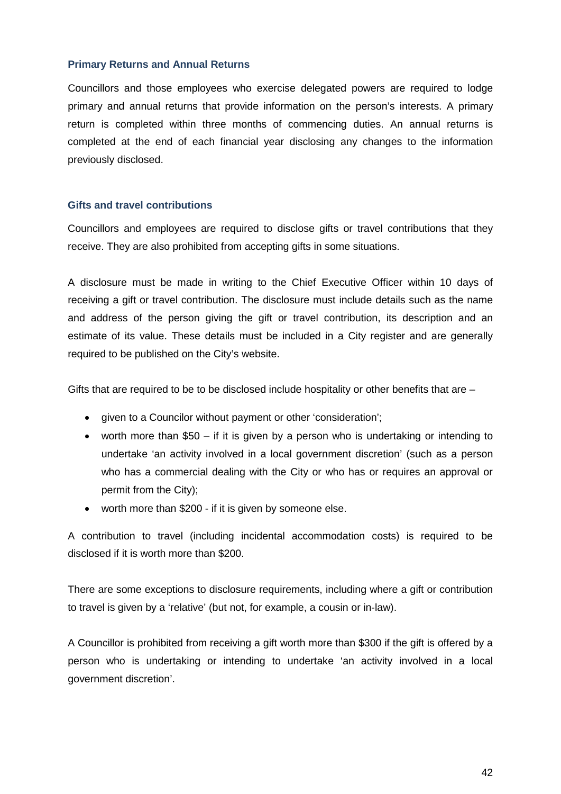#### **Primary Returns and Annual Returns**

Councillors and those employees who exercise delegated powers are required to lodge primary and annual returns that provide information on the person's interests. A primary return is completed within three months of commencing duties. An annual returns is completed at the end of each financial year disclosing any changes to the information previously disclosed.

#### **Gifts and travel contributions**

Councillors and employees are required to disclose gifts or travel contributions that they receive. They are also prohibited from accepting gifts in some situations.

A disclosure must be made in writing to the Chief Executive Officer within 10 days of receiving a gift or travel contribution. The disclosure must include details such as the name and address of the person giving the gift or travel contribution, its description and an estimate of its value. These details must be included in a City register and are generally required to be published on the City's website.

Gifts that are required to be to be disclosed include hospitality or other benefits that are –

- given to a Councilor without payment or other 'consideration';
- worth more than \$50 if it is given by a person who is undertaking or intending to undertake 'an activity involved in a local government discretion' (such as a person who has a commercial dealing with the City or who has or requires an approval or permit from the City);
- worth more than \$200 if it is given by someone else.

A contribution to travel (including incidental accommodation costs) is required to be disclosed if it is worth more than \$200.

There are some exceptions to disclosure requirements, including where a gift or contribution to travel is given by a 'relative' (but not, for example, a cousin or in-law).

A Councillor is prohibited from receiving a gift worth more than \$300 if the gift is offered by a person who is undertaking or intending to undertake 'an activity involved in a local government discretion'.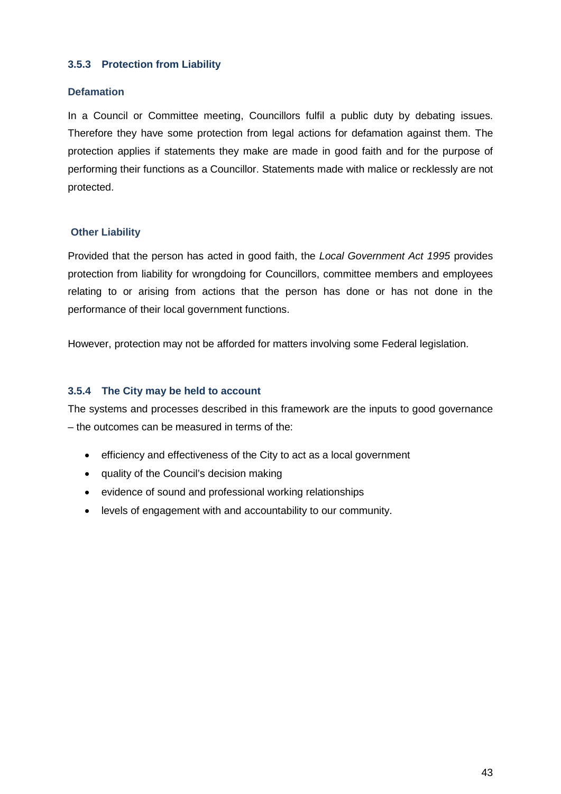# <span id="page-42-0"></span>**3.5.3 Protection from Liability**

# **Defamation**

In a Council or Committee meeting, Councillors fulfil a public duty by debating issues. Therefore they have some protection from legal actions for defamation against them. The protection applies if statements they make are made in good faith and for the purpose of performing their functions as a Councillor. Statements made with malice or recklessly are not protected.

# **Other Liability**

Provided that the person has acted in good faith, the *Local Government Act 1995* provides protection from liability for wrongdoing for Councillors, committee members and employees relating to or arising from actions that the person has done or has not done in the performance of their local government functions.

However, protection may not be afforded for matters involving some Federal legislation.

# <span id="page-42-1"></span>**3.5.4 The City may be held to account**

The systems and processes described in this framework are the inputs to good governance – the outcomes can be measured in terms of the:

- efficiency and effectiveness of the City to act as a local government
- quality of the Council's decision making
- evidence of sound and professional working relationships
- levels of engagement with and accountability to our community.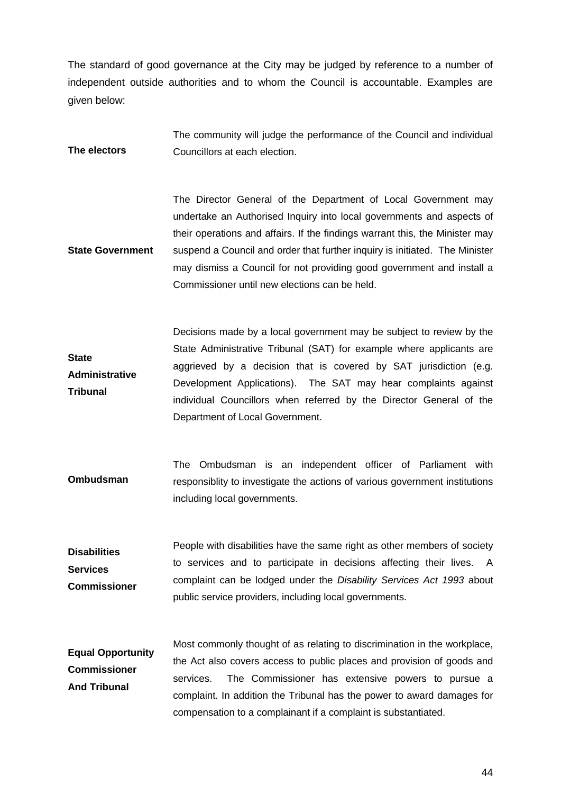The standard of good governance at the City may be judged by reference to a number of independent outside authorities and to whom the Council is accountable. Examples are given below:

**The electors** The community will judge the performance of the Council and individual Councillors at each election.

**State Government** The Director General of the Department of Local Government may undertake an Authorised Inquiry into local governments and aspects of their operations and affairs. If the findings warrant this, the Minister may suspend a Council and order that further inquiry is initiated. The Minister may dismiss a Council for not providing good government and install a Commissioner until new elections can be held.

**State Administrative Tribunal** Decisions made by a local government may be subject to review by the State Administrative Tribunal (SAT) for example where applicants are aggrieved by a decision that is covered by SAT jurisdiction (e.g. Development Applications). The SAT may hear complaints against individual Councillors when referred by the Director General of the Department of Local Government.

- **Ombudsman** The Ombudsman is an independent officer of Parliament with responsiblity to investigate the actions of various government institutions including local governments.
- **Disabilities Services Commissioner** People with disabilities have the same right as other members of society to services and to participate in decisions affecting their lives. A complaint can be lodged under the *Disability Services Act 1993* about public service providers, including local governments.

**Equal Opportunity Commissioner And Tribunal** Most commonly thought of as relating to discrimination in the workplace, the Act also covers access to public places and provision of goods and services. The Commissioner has extensive powers to pursue a complaint. In addition the Tribunal has the power to award damages for compensation to a complainant if a complaint is substantiated.